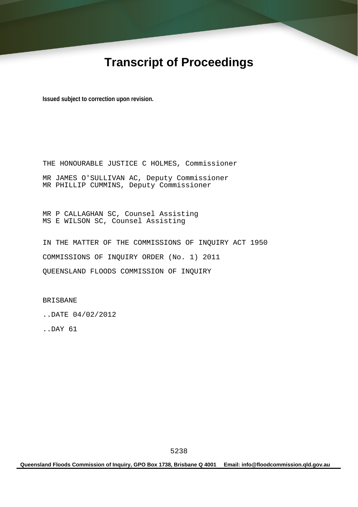# **Transcript of Proceedings**

**Issued subject to correction upon revision.** 

THE HONOURABLE JUSTICE C HOLMES, Commissioner MR JAMES O'SULLIVAN AC, Deputy Commissioner MR PHILLIP CUMMINS, Deputy Commissioner

MR P CALLAGHAN SC, Counsel Assisting MS E WILSON SC, Counsel Assisting

IN THE MATTER OF THE COMMISSIONS OF INQUIRY ACT 1950 COMMISSIONS OF INQUIRY ORDER (No. 1) 2011 QUEENSLAND FLOODS COMMISSION OF INQUIRY

BRISBANE

..DATE 04/02/2012

..DAY 61

**Queensland Floods Commission of Inquiry, GPO Box 1738, Brisbane Q 4001 Email: info@floodcommission.qld.gov.au**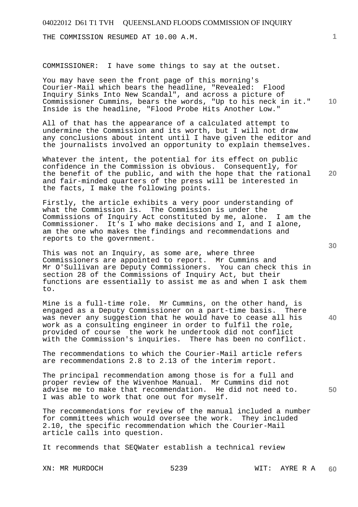THE COMMISSION RESUMED AT 10.00 A.M.

COMMISSIONER: I have some things to say at the outset.

**10**  You may have seen the front page of this morning's Courier-Mail which bears the headline, "Revealed: Flood Inquiry Sinks Into New Scandal", and across a picture of Commissioner Cummins, bears the words, "Up to his neck in it." Inside is the headline, "Flood Probe Hits Another Low."

All of that has the appearance of a calculated attempt to undermine the Commission and its worth, but I will not draw any conclusions about intent until I have given the editor and the journalists involved an opportunity to explain themselves.

Whatever the intent, the potential for its effect on public confidence in the Commission is obvious. Consequently, for the benefit of the public, and with the hope that the rational and fair-minded quarters of the press will be interested in the facts, I make the following points.

Firstly, the article exhibits a very poor understanding of what the Commission is. The Commission is under the Commissions of Inquiry Act constituted by me, alone. I am the Commissioner. It's I who make decisions and I, and I alone, am the one who makes the findings and recommendations and reports to the government.

This was not an Inquiry, as some are, where three Commissioners are appointed to report. Mr Cummins and Mr O'Sullivan are Deputy Commissioners. You can check this in section 28 of the Commissions of Inquiry Act, but their functions are essentially to assist me as and when I ask them to.

Mine is a full-time role. Mr Cummins, on the other hand, is engaged as a Deputy Commissioner on a part-time basis. There was never any suggestion that he would have to cease all his work as a consulting engineer in order to fulfil the role, provided of course the work he undertook did not conflict with the Commission's inquiries. There has been no conflict.

The recommendations to which the Courier-Mail article refers are recommendations 2.8 to 2.13 of the interim report.

The principal recommendation among those is for a full and proper review of the Wivenhoe Manual. Mr Cummins did not advise me to make that recommendation. He did not need to. I was able to work that one out for myself.

The recommendations for review of the manual included a number for committees which would oversee the work. They included 2.10, the specific recommendation which the Courier-Mail article calls into question.

It recommends that SEQWater establish a technical review

**1**

**30** 

**20** 

**40**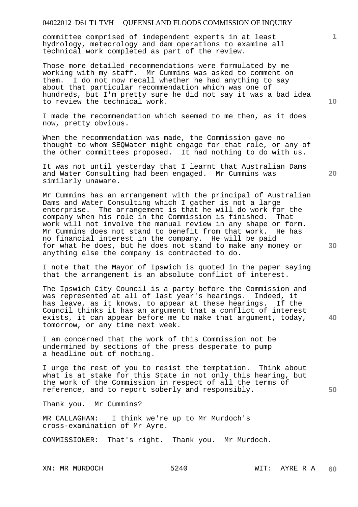committee comprised of independent experts in at least hydrology, meteorology and dam operations to examine all technical work completed as part of the review.

Those more detailed recommendations were formulated by me working with my staff. Mr Cummins was asked to comment on them. I do not now recall whether he had anything to say about that particular recommendation which was one of hundreds, but I'm pretty sure he did not say it was a bad idea to review the technical work.

I made the recommendation which seemed to me then, as it does now, pretty obvious.

When the recommendation was made, the Commission gave no thought to whom SEQWater might engage for that role, or any of the other committees proposed. It had nothing to do with us.

It was not until yesterday that I learnt that Australian Dams and Water Consulting had been engaged. Mr Cummins was similarly unaware.

Mr Cummins has an arrangement with the principal of Australian Dams and Water Consulting which I gather is not a large enterprise. The arrangement is that he will do work for the company when his role in the Commission is finished. That work will not involve the manual review in any shape or form. Mr Cummins does not stand to benefit from that work. He has no financial interest in the company. He will be paid for what he does, but he does not stand to make any money or anything else the company is contracted to do.

I note that the Mayor of Ipswich is quoted in the paper saying that the arrangement is an absolute conflict of interest.

The Ipswich City Council is a party before the Commission and was represented at all of last year's hearings. Indeed, it has leave, as it knows, to appear at these hearings. If the Council thinks it has an argument that a conflict of interest exists, it can appear before me to make that argument, today, tomorrow, or any time next week.

I am concerned that the work of this Commission not be undermined by sections of the press desperate to pump a headline out of nothing.

I urge the rest of you to resist the temptation. Think about what is at stake for this State in not only this hearing, but the work of the Commission in respect of all the terms of reference, and to report soberly and responsibly.

Thank you. Mr Cummins?

MR CALLAGHAN: I think we're up to Mr Murdoch's cross-examination of Mr Ayre.

COMMISSIONER: That's right. Thank you. Mr Murdoch.

**10** 

**1**

**30** 

**20** 

**50**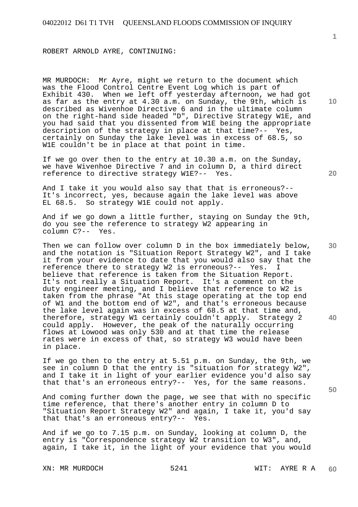ROBERT ARNOLD AYRE, CONTINUING:

MR MURDOCH: Mr Ayre, might we return to the document which was the Flood Control Centre Event Log which is part of Exhibit 430. When we left off yesterday afternoon, we had got as far as the entry at 4.30 a.m. on Sunday, the 9th, which is described as Wivenhoe Directive 6 and in the ultimate column on the right-hand side headed "D", Directive Strategy W1E, and you had said that you dissented from W1E being the appropriate description of the strategy in place at that time?-- Yes, certainly on Sunday the lake level was in excess of 68.5, so W1E couldn't be in place at that point in time.

If we go over then to the entry at 10.30 a.m. on the Sunday, we have Wivenhoe Directive 7 and in column D, a third direct reference to directive strategy W1E?-- Yes.

And I take it you would also say that that is erroneous?-- It's incorrect, yes, because again the lake level was above EL 68.5. So strategy W1E could not apply.

And if we go down a little further, staying on Sunday the 9th, do you see the reference to strategy W2 appearing in column C?-- Yes.

Then we can follow over column D in the box immediately below, and the notation is "Situation Report Strategy W2", and I take it from your evidence to date that you would also say that the reference there to strategy W2 is erroneous?-- Yes. I believe that reference is taken from the Situation Report. It's not really a Situation Report. It's a comment on the duty engineer meeting, and I believe that reference to W2 is taken from the phrase "At this stage operating at the top end of W1 and the bottom end of W2", and that's erroneous because the lake level again was in excess of 68.5 at that time and, therefore, strategy W1 certainly couldn't apply. Strategy 2 could apply. However, the peak of the naturally occurring flows at Lowood was only 530 and at that time the release rates were in excess of that, so strategy W3 would have been in place.

If we go then to the entry at 5.51 p.m. on Sunday, the 9th, we see in column D that the entry is "situation for strategy W2", and I take it in light of your earlier evidence you'd also say that that's an erroneous entry?-- Yes, for the same reasons.

And coming further down the page, we see that with no specific time reference, that there's another entry in column D to "Situation Report Strategy W2" and again, I take it, you'd say that that's an erroneous entry?-- Yes.

And if we go to 7.15 p.m. on Sunday, looking at column D, the entry is "Correspondence strategy W2 transition to W3", and, again, I take it, in the light of your evidence that you would

**1**

**30** 

**20** 

**40**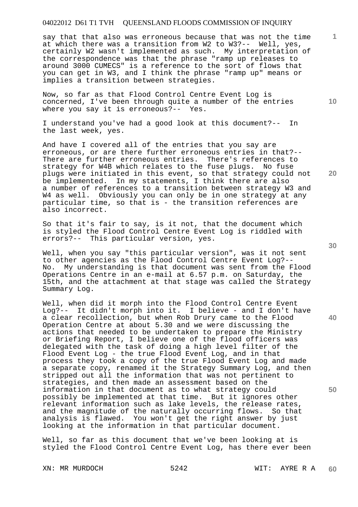say that that also was erroneous because that was not the time at which there was a transition from W2 to W3?-- Well, yes, certainly W2 wasn't implemented as such. My interpretation of the correspondence was that the phrase "ramp up releases to around 3000 CUMECS" is a reference to the sort of flows that you can get in W3, and I think the phrase "ramp up" means or implies a transition between strategies.

Now, so far as that Flood Control Centre Event Log is concerned, I've been through quite a number of the entries where you say it is erroneous?-- Yes.

I understand you've had a good look at this document?-- In the last week, yes.

And have I covered all of the entries that you say are erroneous, or are there further erroneous entries in that?-- There are further erroneous entries. There's references to strategy for W4B which relates to the fuse plugs. No fuse plugs were initiated in this event, so that strategy could not be implemented. In my statements, I think there are also a number of references to a transition between strategy W3 and W4 as well. Obviously you can only be in one strategy at any particular time, so that is - the transition references are also incorrect.

So that it's fair to say, is it not, that the document which is styled the Flood Control Centre Event Log is riddled with errors?-- This particular version, yes.

Well, when you say "this particular version", was it not sent to other agencies as the Flood Control Centre Event Log?-- No. My understanding is that document was sent from the Flood Operations Centre in an e-mail at 6.57 p.m. on Saturday, the 15th, and the attachment at that stage was called the Strategy Summary Log.

Well, when did it morph into the Flood Control Centre Event Log?-- It didn't morph into it. I believe - and I don't have a clear recollection, but when Rob Drury came to the Flood Operation Centre at about 5.30 and we were discussing the actions that needed to be undertaken to prepare the Ministry or Briefing Report, I believe one of the flood officers was delegated with the task of doing a high level filter of the Flood Event Log - the true Flood Event Log, and in that process they took a copy of the true Flood Event Log and made a separate copy, renamed it the Strategy Summary Log, and then stripped out all the information that was not pertinent to strategies, and then made an assessment based on the information in that document as to what strategy could possibly be implemented at that time. But it ignores other relevant information such as lake levels, the release rates, and the magnitude of the naturally occurring flows. So that analysis is flawed. You won't get the right answer by just looking at the information in that particular document.

Well, so far as this document that we've been looking at is styled the Flood Control Centre Event Log, has there ever been

**30** 

**20** 

**50** 

**40** 

**10**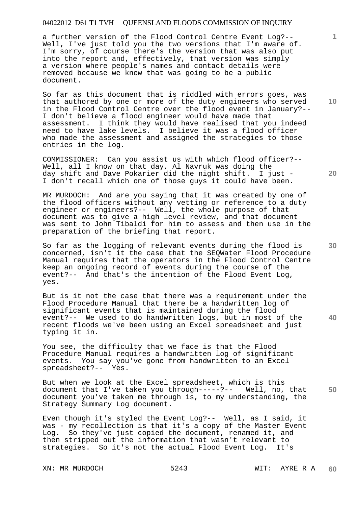a further version of the Flood Control Centre Event Log?-- Well, I've just told you the two versions that I'm aware of. I'm sorry, of course there's the version that was also put into the report and, effectively, that version was simply a version where people's names and contact details were removed because we knew that was going to be a public document.

So far as this document that is riddled with errors goes, was that authored by one or more of the duty engineers who served in the Flood Control Centre over the flood event in January?-- I don't believe a flood engineer would have made that assessment. I think they would have realised that you indeed need to have lake levels. I believe it was a flood officer who made the assessment and assigned the strategies to those entries in the log.

COMMISSIONER: Can you assist us with which flood officer?-- Well, all I know on that day, Al Navruk was doing the day shift and Dave Pokarier did the night shift. I just - I don't recall which one of those guys it could have been.

MR MURDOCH: And are you saying that it was created by one of the flood officers without any vetting or reference to a duty engineer or engineers?-- Well, the whole purpose of that document was to give a high level review, and that document was sent to John Tibaldi for him to assess and then use in the preparation of the briefing that report.

So far as the logging of relevant events during the flood is concerned, isn't it the case that the SEQWater Flood Procedure Manual requires that the operators in the Flood Control Centre keep an ongoing record of events during the course of the event?-- And that's the intention of the Flood Event Log, yes.

But is it not the case that there was a requirement under the Flood Procedure Manual that there be a handwritten log of significant events that is maintained during the flood event?-- We used to do handwritten logs, but in most of the recent floods we've been using an Excel spreadsheet and just typing it in.

You see, the difficulty that we face is that the Flood Procedure Manual requires a handwritten log of significant events. You say you've gone from handwritten to an Excel spreadsheet?-- Yes.

**50**  But when we look at the Excel spreadsheet, which is this document that I've taken you through-----?-- Well, no, that document you've taken me through is, to my understanding, the Strategy Summary Log document.

Even though it's styled the Event Log?-- Well, as I said, it was - my recollection is that it's a copy of the Master Event Log. So they've just copied the document, renamed it, and then stripped out the information that wasn't relevant to strategies. So it's not the actual Flood Event Log. It's

**10** 

**30** 

**20** 

**40**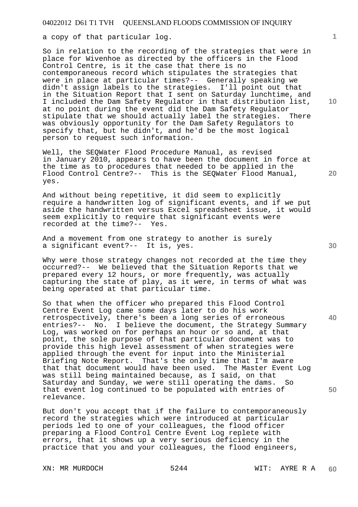a copy of that particular log.

So in relation to the recording of the strategies that were in place for Wivenhoe as directed by the officers in the Flood Control Centre, is it the case that there is no contemporaneous record which stipulates the strategies that were in place at particular times?-- Generally speaking we didn't assign labels to the strategies. I'll point out that in the Situation Report that I sent on Saturday lunchtime, and I included the Dam Safety Regulator in that distribution list, at no point during the event did the Dam Safety Regulator<br>stipulate that we should actually label the strategies. There stipulate that we should actually label the strategies. was obviously opportunity for the Dam Safety Regulators to specify that, but he didn't, and he'd be the most logical person to request such information.

Well, the SEQWater Flood Procedure Manual, as revised in January 2010, appears to have been the document in force at the time as to procedures that needed to be applied in the Flood Control Centre?-- This is the SEQWater Flood Manual, yes.

And without being repetitive, it did seem to explicitly require a handwritten log of significant events, and if we put aside the handwritten versus Excel spreadsheet issue, it would seem explicitly to require that significant events were recorded at the time?-- Yes.

And a movement from one strategy to another is surely a significant event?-- It is, yes.

Why were those strategy changes not recorded at the time they occurred?-- We believed that the Situation Reports that we prepared every 12 hours, or more frequently, was actually capturing the state of play, as it were, in terms of what was being operated at that particular time.

So that when the officer who prepared this Flood Control Centre Event Log came some days later to do his work retrospectively, there's been a long series of erroneous entries?-- No. I believe the document, the Strategy Summary Log, was worked on for perhaps an hour or so and, at that point, the sole purpose of that particular document was to provide this high level assessment of when strategies were applied through the event for input into the Ministerial Briefing Note Report. That's the only time that I'm aware that that document would have been used. The Master Event Log was still being maintained because, as I said, on that Saturday and Sunday, we were still operating the dams. So that event log continued to be populated with entries of relevance.

But don't you accept that if the failure to contemporaneously record the strategies which were introduced at particular periods led to one of your colleagues, the flood officer preparing a Flood Control Centre Event Log replete with errors, that it shows up a very serious deficiency in the practice that you and your colleagues, the flood engineers,

XN: MR MURDOCH 5244 WIT: AYRE R A

**1**

**20** 

**30** 

**40**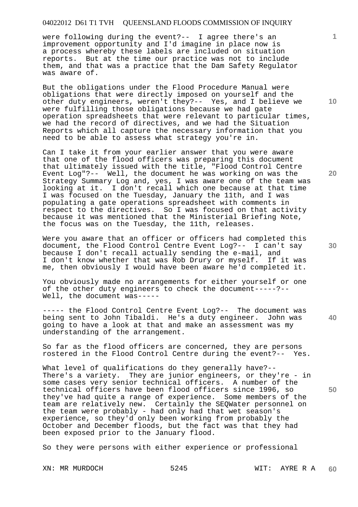were following during the event?-- I agree there's an improvement opportunity and I'd imagine in place now is a process whereby these labels are included on situation reports. But at the time our practice was not to include them, and that was a practice that the Dam Safety Regulator was aware of.

But the obligations under the Flood Procedure Manual were obligations that were directly imposed on yourself and the other duty engineers, weren't they?-- Yes, and I believe we were fulfilling those obligations because we had gate operation spreadsheets that were relevant to particular times, we had the record of directives, and we had the Situation Reports which all capture the necessary information that you need to be able to assess what strategy you're in.

Can I take it from your earlier answer that you were aware that one of the flood officers was preparing this document that ultimately issued with the title, "Flood Control Centre Event Log"?-- Well, the document he was working on was the Strategy Summary Log and, yes, I was aware one of the team was looking at it. I don't recall which one because at that time I was focused on the Tuesday, January the 11th, and I was populating a gate operations spreadsheet with comments in respect to the directives. So I was focused on that activity because it was mentioned that the Ministerial Briefing Note, the focus was on the Tuesday, the 11th, releases.

Were you aware that an officer or officers had completed this document, the Flood Control Centre Event Log?-- I can't say because I don't recall actually sending the e-mail, and I don't know whether that was Rob Drury or myself. If it was me, then obviously I would have been aware he'd completed it.

You obviously made no arrangements for either yourself or one of the other duty engineers to check the document-----?-- Well, the document was-----

----- the Flood Control Centre Event Log?-- The document was being sent to John Tibaldi. He's a duty engineer. John was going to have a look at that and make an assessment was my understanding of the arrangement.

So far as the flood officers are concerned, they are persons rostered in the Flood Control Centre during the event?-- Yes.

What level of qualifications do they generally have?--There's a variety. They are junior engineers, or they're - in some cases very senior technical officers. A number of the technical officers have been flood officers since 1996, so they've had quite a range of experience. Some members of the team are relatively new. Certainly the SEQWater personnel on the team were probably - had only had that wet season's experience, so they'd only been working from probably the October and December floods, but the fact was that they had been exposed prior to the January flood.

So they were persons with either experience or professional

**10** 

**1**

**20** 

**50**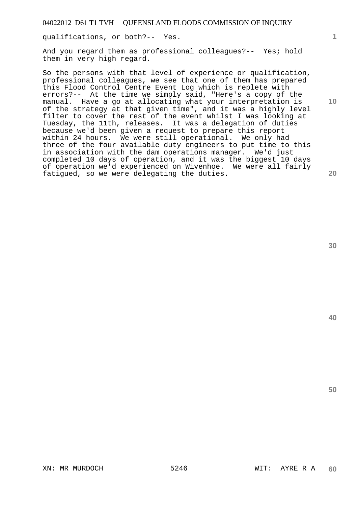qualifications, or both?-- Yes.

And you regard them as professional colleagues?-- Yes; hold them in very high regard.

So the persons with that level of experience or qualification, professional colleagues, we see that one of them has prepared this Flood Control Centre Event Log which is replete with errors?-- At the time we simply said, "Here's a copy of the manual. Have a go at allocating what your interpretation is of the strategy at that given time", and it was a highly level filter to cover the rest of the event whilst I was looking at Tuesday, the 11th, releases. It was a delegation of duties because we'd been given a request to prepare this report within 24 hours. We were still operational. We only had three of the four available duty engineers to put time to this in association with the dam operations manager. We'd just completed 10 days of operation, and it was the biggest 10 days of operation we'd experienced on Wivenhoe. We were all fairly fatigued, so we were delegating the duties.

**40** 

**50** 

**20** 

**10**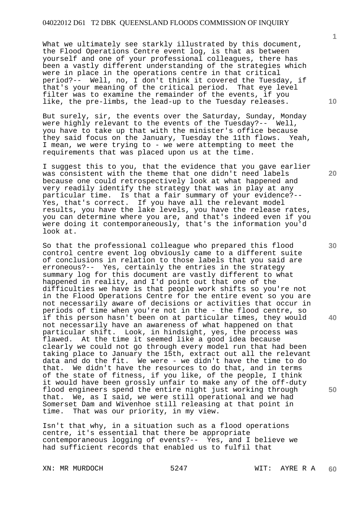What we ultimately see starkly illustrated by this document, the Flood Operations Centre event log, is that as between yourself and one of your professional colleagues, there has been a vastly different understanding of the strategies which were in place in the operations centre in that critical period?-- Well, no, I don't think it covered the Tuesday, if that's your meaning of the critical period. That eye level filter was to examine the remainder of the events, if you like, the pre-limbs, the lead-up to the Tuesday releases.

But surely, sir, the events over the Saturday, Sunday, Monday were highly relevant to the events of the Tuesday?-- Well, you have to take up that with the minister's office because they said focus on the January, Tuesday the 11th flows. Yeah, I mean, we were trying to - we were attempting to meet the requirements that was placed upon us at the time.

I suggest this to you, that the evidence that you gave earlier was consistent with the theme that one didn't need labels because one could retrospectively look at what happened and very readily identify the strategy that was in play at any particular time. Is that a fair summary of your evidence?-- Yes, that's correct. If you have all the relevant model results, you have the lake levels, you have the release rates, you can determine where you are, and that's indeed even if you were doing it contemporaneously, that's the information you'd look at.

So that the professional colleague who prepared this flood control centre event log obviously came to a different suite of conclusions in relation to those labels that you said are erroneous?-- Yes, certainly the entries in the strategy summary log for this document are vastly different to what happened in reality, and I'd point out that one of the difficulties we have is that people work shifts so you're not in the Flood Operations Centre for the entire event so you are not necessarily aware of decisions or activities that occur in periods of time when you're not in the - the flood centre, so if this person hasn't been on at particular times, they would not necessarily have an awareness of what happened on that particular shift. Look, in hindsight, yes, the process was flawed. At the time it seemed like a good idea because clearly we could not go through every model run that had been taking place to January the 15th, extract out all the relevant data and do the fit. We were - we didn't have the time to do that. We didn't have the resources to do that, and in terms of the state of fitness, if you like, of the people, I think it would have been grossly unfair to make any of the off-duty flood engineers spend the entire night just working through that. We, as I said, we were still operational and we had Somerset Dam and Wivenhoe still releasing at that point in time. That was our priority, in my view.

Isn't that why, in a situation such as a flood operations centre, it's essential that there be appropriate contemporaneous logging of events?-- Yes, and I believe we had sufficient records that enabled us to fulfil that

XN: MR MURDOCH 5247 WIT: AYRE R A

**1**

**30** 

**20** 

**40**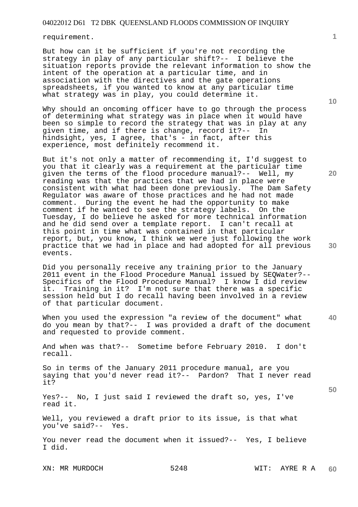requirement.

But how can it be sufficient if you're not recording the strategy in play of any particular shift?-- I believe the situation reports provide the relevant information to show the intent of the operation at a particular time, and in association with the directives and the gate operations spreadsheets, if you wanted to know at any particular time what strategy was in play, you could determine it.

Why should an oncoming officer have to go through the process of determining what strategy was in place when it would have been so simple to record the strategy that was in play at any given time, and if there is change, record it?-- In hindsight, yes, I agree, that's - in fact, after this experience, most definitely recommend it.

But it's not only a matter of recommending it, I'd suggest to you that it clearly was a requirement at the particular time given the terms of the flood procedure manual?-- Well, my reading was that the practices that we had in place were consistent with what had been done previously. The Dam Safety Regulator was aware of those practices and he had not made comment. During the event he had the opportunity to make comment if he wanted to see the strategy labels. On the Tuesday, I do believe he asked for more technical information and he did send over a template report. I can't recall at this point in time what was contained in that particular report, but, you know, I think we were just following the work practice that we had in place and had adopted for all previous events.

Did you personally receive any training prior to the January 2011 event in the Flood Procedure Manual issued by SEQWater?-- Specifics of the Flood Procedure Manual? I know I did review it. Training in it? I'm not sure that there was a specific session held but I do recall having been involved in a review of that particular document.

**40**  When you used the expression "a review of the document" what do you mean by that?-- I was provided a draft of the document and requested to provide comment.

And when was that?-- Sometime before February 2010. I don't recall.

So in terms of the January 2011 procedure manual, are you saying that you'd never read it?-- Pardon? That I never read it?

Yes?-- No, I just said I reviewed the draft so, yes, I've read it.

Well, you reviewed a draft prior to its issue, is that what you've said?-- Yes.

You never read the document when it issued?-- Yes, I believe I did.

XN: MR MURDOCH 5248 WIT: AYRE R A

**1**

**20**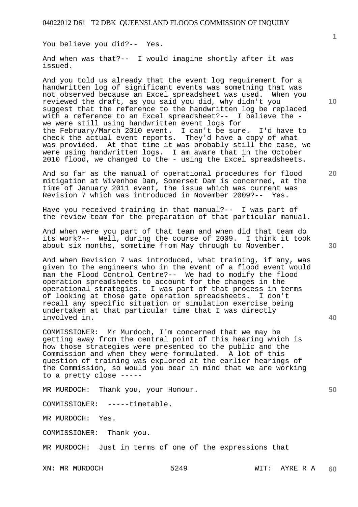You believe you did?-- Yes.

And when was that?-- I would imagine shortly after it was issued.

And you told us already that the event log requirement for a handwritten log of significant events was something that was not observed because an Excel spreadsheet was used. When you reviewed the draft, as you said you did, why didn't you suggest that the reference to the handwritten log be replaced with a reference to an Excel spreadsheet?-- I believe the we were still using handwritten event logs for the February/March 2010 event. I can't be sure. I'd have to check the actual event reports. They'd have a copy of what was provided. At that time it was probably still the case, we were using handwritten logs. I am aware that in the October 2010 flood, we changed to the - using the Excel spreadsheets.

And so far as the manual of operational procedures for flood mitigation at Wivenhoe Dam, Somerset Dam is concerned, at the time of January 2011 event, the issue which was current was Revision 7 which was introduced in November 2009?-- Yes.

Have you received training in that manual?-- I was part of the review team for the preparation of that particular manual.

And when were you part of that team and when did that team do its work?-- Well, during the course of 2009. I think it took about six months, sometime from May through to November.

And when Revision 7 was introduced, what training, if any, was given to the engineers who in the event of a flood event would man the Flood Control Centre?-- We had to modify the flood operation spreadsheets to account for the changes in the operational strategies. I was part of that process in terms of looking at those gate operation spreadsheets. I don't recall any specific situation or simulation exercise being undertaken at that particular time that I was directly involved in.

COMMISSIONER: Mr Murdoch, I'm concerned that we may be getting away from the central point of this hearing which is how those strategies were presented to the public and the Commission and when they were formulated. A lot of this question of training was explored at the earlier hearings of the Commission, so would you bear in mind that we are working to a pretty close -----

MR MURDOCH: Thank you, your Honour.

COMMISSIONER: -----timetable.

MR MURDOCH: Yes.

COMMISSIONER: Thank you.

MR MURDOCH: Just in terms of one of the expressions that

**10** 

**1**

**20** 

**40** 

**30**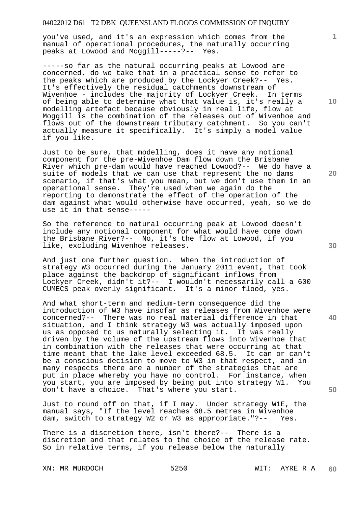you've used, and it's an expression which comes from the manual of operational procedures, the naturally occurring peaks at Lowood and Moggill-----?-- Yes.

-----so far as the natural occurring peaks at Lowood are concerned, do we take that in a practical sense to refer to the peaks which are produced by the Lockyer Creek?-- Yes. It's effectively the residual catchments downstream of Wivenhoe - includes the majority of Lockyer Creek. In terms of being able to determine what that value is, it's really a modelling artefact because obviously in real life, flow at Moggill is the combination of the releases out of Wivenhoe and flows out of the downstream tributary catchment. So you can't actually measure it specifically. It's simply a model value if you like.

Just to be sure, that modelling, does it have any notional component for the pre-Wivenhoe Dam flow down the Brisbane River which pre-dam would have reached Lowood?-- We do have a suite of models that we can use that represent the no dams scenario, if that's what you mean, but we don't use them in an operational sense. They're used when we again do the reporting to demonstrate the effect of the operation of the dam against what would otherwise have occurred, yeah, so we do use it in that sense-----

So the reference to natural occurring peak at Lowood doesn't include any notional component for what would have come down the Brisbane River?-- No, it's the flow at Lowood, if you like, excluding Wivenhoe releases.

And just one further question. When the introduction of strategy W3 occurred during the January 2011 event, that took place against the backdrop of significant inflows from Lockyer Creek, didn't it?-- I wouldn't necessarily call a 600 CUMECS peak overly significant. It's a minor flood, yes.

And what short-term and medium-term consequence did the introduction of W3 have insofar as releases from Wivenhoe were concerned?-- There was no real material difference in that situation, and I think strategy W3 was actually imposed upon us as opposed to us naturally selecting it. It was really driven by the volume of the upstream flows into Wivenhoe that in combination with the releases that were occurring at that time meant that the lake level exceeded 68.5. It can or can't be a conscious decision to move to W3 in that respect, and in many respects there are a number of the strategies that are put in place whereby you have no control. For instance, when you start, you are imposed by being put into strategy W1. You don't have a choice. That's where you start.

Just to round off on that, if I may. Under strategy W1E, the manual says, "If the level reaches 68.5 metres in Wivenhoe dam, switch to strategy W2 or W3 as appropriate."?-- Yes.

There is a discretion there, isn't there?-- There is a discretion and that relates to the choice of the release rate. So in relative terms, if you release below the naturally

**10** 

**1**

**20** 

**30** 

**40**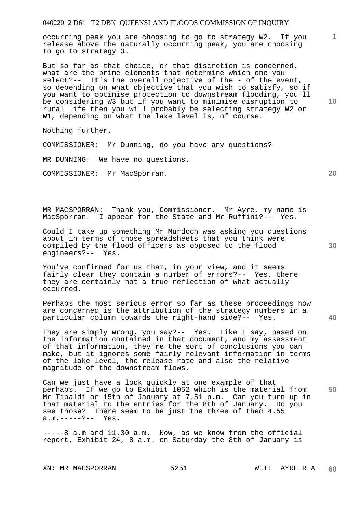occurring peak you are choosing to go to strategy W2. If you release above the naturally occurring peak, you are choosing to go to strategy 3.

But so far as that choice, or that discretion is concerned, what are the prime elements that determine which one you select?-- It's the overall objective of the - of the event, so depending on what objective that you wish to satisfy, so if you want to optimise protection to downstream flooding, you'll be considering W3 but if you want to minimise disruption to rural life then you will probably be selecting strategy W2 or W1, depending on what the lake level is, of course.

Nothing further.

COMMISSIONER: Mr Dunning, do you have any questions?

MR DUNNING: We have no questions.

COMMISSIONER: Mr MacSporran.

MR MACSPORRAN: Thank you, Commissioner. Mr Ayre, my name is MacSporran. I appear for the State and Mr Ruffini?-- Yes.

Could I take up something Mr Murdoch was asking you questions about in terms of those spreadsheets that you think were compiled by the flood officers as opposed to the flood engineers?-- Yes.

You've confirmed for us that, in your view, and it seems fairly clear they contain a number of errors?-- Yes, there they are certainly not a true reflection of what actually occurred.

Perhaps the most serious error so far as these proceedings now are concerned is the attribution of the strategy numbers in a particular column towards the right-hand side?-- Yes.

They are simply wrong, you say?-- Yes. Like I say, based on the information contained in that document, and my assessment of that information, they're the sort of conclusions you can make, but it ignores some fairly relevant information in terms of the lake level, the release rate and also the relative magnitude of the downstream flows.

**50**  Can we just have a look quickly at one example of that perhaps. If we go to Exhibit 1052 which is the material from Mr Tibaldi on 15th of January at 7.51 p.m. Can you turn up in that material to the entries for the 8th of January. Do you see those? There seem to be just the three of them 4.55 a.m.-----?-- Yes.

-----8 a.m and 11.30 a.m. Now, as we know from the official report, Exhibit 24, 8 a.m. on Saturday the 8th of January is

**1**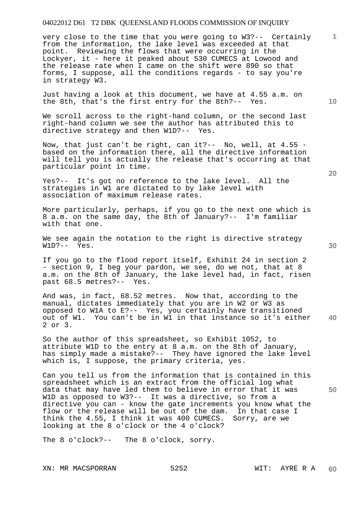very close to the time that you were going to W3?-- Certainly from the information, the lake level was exceeded at that point. Reviewing the flows that were occurring in the Lockyer, it - here it peaked about 530 CUMECS at Lowood and the release rate when I came on the shift were 890 so that forms, I suppose, all the conditions regards - to say you're in strategy W3.

Just having a look at this document, we have at 4.55 a.m. on the 8th, that's the first entry for the 8th?-- Yes.

We scroll across to the right-hand column, or the second last right-hand column we see the author has attributed this to directive strategy and then W1D?-- Yes.

Now, that just can't be right, can it?-- No, well, at 4.55 based on the information there, all the directive information will tell you is actually the release that's occurring at that particular point in time.

Yes?-- It's got no reference to the lake level. All the strategies in W1 are dictated to by lake level with association of maximum release rates.

More particularly, perhaps, if you go to the next one which is 8 a.m. on the same day, the 8th of January?-- I'm familiar with that one.

We see again the notation to the right is directive strategy W1D?-- Yes.

If you go to the flood report itself, Exhibit 24 in section 2 - section 9, I beg your pardon, we see, do we not, that at 8 a.m. on the 8th of January, the lake level had, in fact, risen past 68.5 metres?-- Yes.

**40**  And was, in fact, 68.52 metres. Now that, according to the manual, dictates immediately that you are in W2 or W3 as opposed to W1A to E?-- Yes, you certainly have transitioned out of W1. You can't be in W1 in that instance so it's either 2 or 3.

So the author of this spreadsheet, so Exhibit 1052, to attribute W1D to the entry at 8 a.m. on the 8th of January, has simply made a mistake?-- They have ignored the lake level which is, I suppose, the primary criteria, yes.

**50**  Can you tell us from the information that is contained in this spreadsheet which is an extract from the official log what data that may have led them to believe in error that it was W1D as opposed to W3?-- It was a directive, so from a directive you can - know the gate increments you know what the flow or the release will be out of the dam. In that case I think the 4.55, I think it was 400 CUMECS. Sorry, are we looking at the 8 o'clock or the 4 o'clock?

The 8 o'clock?-- The 8 o'clock, sorry.

XN: MR MACSPORRAN 5252 WIT: AYRE R A

**10** 

**1**

**30**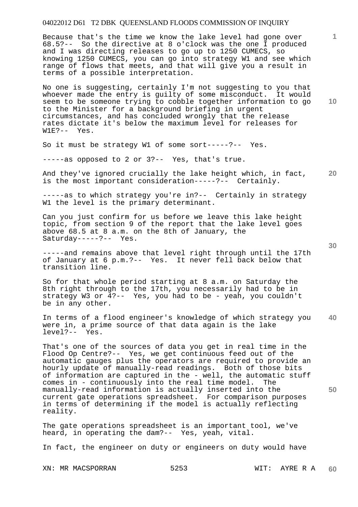Because that's the time we know the lake level had gone over 68.5?-- So the directive at 8 o'clock was the one I produced and I was directing releases to go up to 1250 CUMECS, so knowing 1250 CUMECS, you can go into strategy W1 and see which range of flows that meets, and that will give you a result in terms of a possible interpretation.

No one is suggesting, certainly I'm not suggesting to you that whoever made the entry is guilty of some misconduct. It would seem to be someone trying to cobble together information to go to the Minister for a background briefing in urgent circumstances, and has concluded wrongly that the release rates dictate it's below the maximum level for releases for  $W1E?--Yes.$ 

So it must be strategy W1 of some sort-----?-- Yes.

-----as opposed to 2 or 3?-- Yes, that's true.

**20**  And they've ignored crucially the lake height which, in fact, is the most important consideration-----?-- Certainly.

-----as to which strategy you're in?-- Certainly in strategy W1 the level is the primary determinant.

Can you just confirm for us before we leave this lake height topic, from section 9 of the report that the lake level goes above 68.5 at 8 a.m. on the 8th of January, the Saturday-----?-- Yes.

-----and remains above that level right through until the 17th of January at 6 p.m.?-- Yes. It never fell back below that transition line.

So for that whole period starting at 8 a.m. on Saturday the 8th right through to the 17th, you necessarily had to be in strategy W3 or 4?-- Yes, you had to be - yeah, you couldn't be in any other.

**40**  In terms of a flood engineer's knowledge of which strategy you were in, a prime source of that data again is the lake level?-- Yes.

That's one of the sources of data you get in real time in the Flood Op Centre?-- Yes, we get continuous feed out of the automatic gauges plus the operators are required to provide an hourly update of manually-read readings. Both of those bits of information are captured in the - well, the automatic stuff comes in - continuously into the real time model. The manually-read information is actually inserted into the current gate operations spreadsheet. For comparison purposes in terms of determining if the model is actually reflecting reality.

The gate operations spreadsheet is an important tool, we've heard, in operating the dam?-- Yes, yeah, vital.

In fact, the engineer on duty or engineers on duty would have

XN: MR MACSPORRAN 5253 WIT: AYRE R A

**10** 

**1**

**30**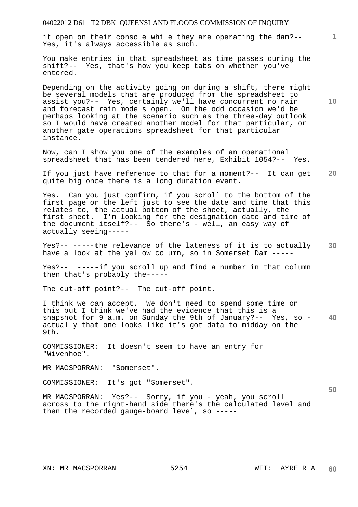it open on their console while they are operating the dam?-- Yes, it's always accessible as such.

You make entries in that spreadsheet as time passes during the shift?-- Yes, that's how you keep tabs on whether you've entered.

Depending on the activity going on during a shift, there might be several models that are produced from the spreadsheet to assist you?-- Yes, certainly we'll have concurrent no rain and forecast rain models open. On the odd occasion we'd be perhaps looking at the scenario such as the three-day outlook so I would have created another model for that particular, or another gate operations spreadsheet for that particular instance.

Now, can I show you one of the examples of an operational spreadsheet that has been tendered here, Exhibit 1054?-- Yes.

**20**  If you just have reference to that for a moment?-- It can get quite big once there is a long duration event.

Yes. Can you just confirm, if you scroll to the bottom of the first page on the left just to see the date and time that this relates to, the actual bottom of the sheet, actually, the first sheet. I'm looking for the designation date and time of the document itself?-- So there's - well, an easy way of actually seeing-----

**30**  Yes?-- -----the relevance of the lateness of it is to actually have a look at the yellow column, so in Somerset Dam -----

Yes?-- -----if you scroll up and find a number in that column then that's probably the-----

The cut-off point?-- The cut-off point.

**40**  I think we can accept. We don't need to spend some time on this but I think we've had the evidence that this is a snapshot for 9 a.m. on Sunday the 9th of January?-- Yes, so actually that one looks like it's got data to midday on the 9th.

COMMISSIONER: It doesn't seem to have an entry for "Wivenhoe".

MR MACSPORRAN: "Somerset".

COMMISSIONER: It's got "Somerset".

MR MACSPORRAN: Yes?-- Sorry, if you - yeah, you scroll across to the right-hand side there's the calculated level and then the recorded gauge-board level, so -----

**50** 

**1**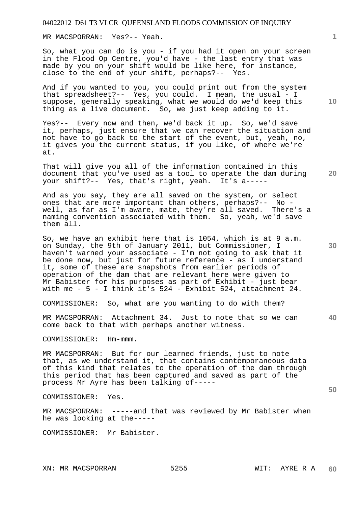MR MACSPORRAN: Yes?-- Yeah.

So, what you can do is you - if you had it open on your screen in the Flood Op Centre, you'd have - the last entry that was made by you on your shift would be like here, for instance, close to the end of your shift, perhaps?-- Yes.

And if you wanted to you, you could print out from the system that spreadsheet?-- Yes, you could. I mean, the usual - I suppose, generally speaking, what we would do we'd keep this thing as a live document. So, we just keep adding to it.

Yes?-- Every now and then, we'd back it up. So, we'd save it, perhaps, just ensure that we can recover the situation and not have to go back to the start of the event, but, yeah, no, it gives you the current status, if you like, of where we're at.

That will give you all of the information contained in this document that you've used as a tool to operate the dam during your shift?-- Yes, that's right, yeah. It's a-----

And as you say, they are all saved on the system, or select ones that are more important than others, perhaps?-- No well, as far as I'm aware, mate, they're all saved. There's a naming convention associated with them. So, yeah, we'd save them all.

So, we have an exhibit here that is 1054, which is at 9 a.m. on Sunday, the 9th of January 2011, but Commissioner, I haven't warned your associate - I'm not going to ask that it be done now, but just for future reference - as I understand it, some of these are snapshots from earlier periods of operation of the dam that are relevant here were given to Mr Babister for his purposes as part of Exhibit - just bear with me - 5 - I think it's 524 - Exhibit 524, attachment 24.

COMMISSIONER: So, what are you wanting to do with them?

**40**  MR MACSPORRAN: Attachment 34. Just to note that so we can come back to that with perhaps another witness.

COMMISSIONER: Hm-mmm.

MR MACSPORRAN: But for our learned friends, just to note that, as we understand it, that contains contemporaneous data of this kind that relates to the operation of the dam through this period that has been captured and saved as part of the process Mr Ayre has been talking of-----

COMMISSIONER: Yes.

MR MACSPORRAN: -----and that was reviewed by Mr Babister when he was looking at the-----

COMMISSIONER: Mr Babister.

**20** 

**10**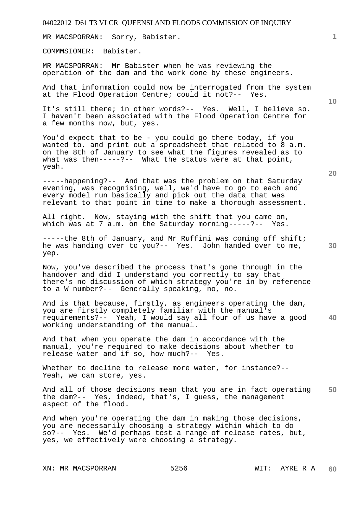MR MACSPORRAN: Sorry, Babister.

COMMMSIONER: Babister.

MR MACSPORRAN: Mr Babister when he was reviewing the operation of the dam and the work done by these engineers.

And that information could now be interrogated from the system at the Flood Operation Centre; could it not?-- Yes.

It's still there; in other words?-- Yes. Well, I believe so. I haven't been associated with the Flood Operation Centre for a few months now, but, yes.

You'd expect that to be - you could go there today, if you wanted to, and print out a spreadsheet that related to 8 a.m. on the 8th of January to see what the figures revealed as to what was then-----?-- What the status were at that point, yeah.

-----happening?-- And that was the problem on that Saturday evening, was recognising, well, we'd have to go to each and every model run basically and pick out the data that was relevant to that point in time to make a thorough assessment.

All right. Now, staying with the shift that you came on, which was at 7 a.m. on the Saturday morning-----?-- Yes.

-----the 8th of January, and Mr Ruffini was coming off shift; he was handing over to you?-- Yes. John handed over to me, yep.

Now, you've described the process that's gone through in the handover and did I understand you correctly to say that there's no discussion of which strategy you're in by reference to a W number?-- Generally speaking, no, no.

**40**  And is that because, firstly, as engineers operating the dam, you are firstly completely familiar with the manual's requirements?-- Yeah, I would say all four of us have a good working understanding of the manual.

And that when you operate the dam in accordance with the manual, you're required to make decisions about whether to release water and if so, how much?-- Yes.

Whether to decline to release more water, for instance?--Yeah, we can store, yes.

**50**  And all of those decisions mean that you are in fact operating the dam?-- Yes, indeed, that's, I guess, the management aspect of the flood.

And when you're operating the dam in making those decisions, you are necessarily choosing a strategy within which to do so?-- Yes. We'd perhaps test a range of release rates, but, yes, we effectively were choosing a strategy.

XN: MR MACSPORRAN 5256 WIT: AYRE R A

**10** 

**1**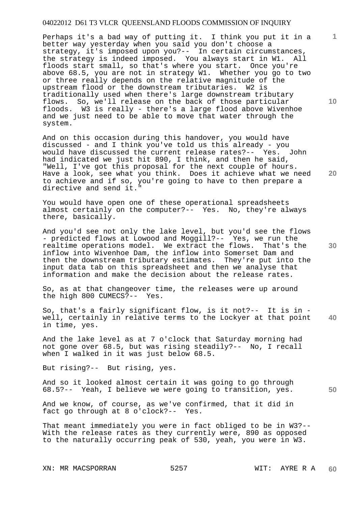Perhaps it's a bad way of putting it. I think you put it in a better way yesterday when you said you don't choose a strategy, it's imposed upon you?-- In certain circumstances, the strategy is indeed imposed. You always start in W1. All floods start small, so that's where you start. Once you're above 68.5, you are not in strategy W1. Whether you go to two or three really depends on the relative magnitude of the upstream flood or the downstream tributaries. W2 is traditionally used when there's large downstream tributary flows. So, we'll release on the back of those particular floods. W3 is really - there's a large flood above Wivenhoe and we just need to be able to move that water through the system.

And on this occasion during this handover, you would have discussed - and I think you've told us this already - you would have discussed the current release rates?-- Yes. John had indicated we just hit 890, I think, and then he said, "Well, I've got this proposal for the next couple of hours. Have a look, see what you think. Does it achieve what we need to achieve and if so, you're going to have to then prepare a directive and send it."

You would have open one of these operational spreadsheets almost certainly on the computer?-- Yes. No, they're always there, basically.

And you'd see not only the lake level, but you'd see the flows - predicted flows at Lowood and Moggill?-- Yes, we run the realtime operations model. We extract the flows. That's the inflow into Wivenhoe Dam, the inflow into Somerset Dam and then the downstream tributary estimates. They're put into the input data tab on this spreadsheet and then we analyse that information and make the decision about the release rates.

So, as at that changeover time, the releases were up around the high 800 CUMECS?-- Yes.

**40**  So, that's a fairly significant flow, is it not?-- It is in well, certainly in relative terms to the Lockyer at that point in time, yes.

And the lake level as at 7 o'clock that Saturday morning had not gone over 68.5, but was rising steadily?-- No, I recall when I walked in it was just below 68.5.

But rising?-- But rising, yes.

And so it looked almost certain it was going to go through 68.5?-- Yeah, I believe we were going to transition, yes.

**50** 

And we know, of course, as we've confirmed, that it did in fact go through at 8 o'clock?-- Yes.

That meant immediately you were in fact obliged to be in W3?-- With the release rates as they currently were, 890 as opposed to the naturally occurring peak of 530, yeah, you were in W3.

XN: MR MACSPORRAN 5257 WIT: AYRE R A

**1**

**10** 

**30**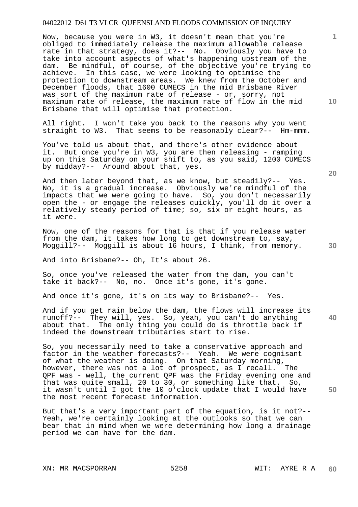Now, because you were in W3, it doesn't mean that you're obliged to immediately release the maximum allowable release rate in that strategy, does it?-- No. Obviously you have to take into account aspects of what's happening upstream of the dam. Be mindful, of course, of the objective you're trying to achieve. In this case, we were looking to optimise the protection to downstream areas. We knew from the October and December floods, that 1600 CUMECS in the mid Brisbane River was sort of the maximum rate of release - or, sorry, not maximum rate of release, the maximum rate of flow in the mid Brisbane that will optimise that protection.

All right. I won't take you back to the reasons why you went straight to W3. That seems to be reasonably clear?-- Hm-mmm.

You've told us about that, and there's other evidence about it. But once you're in W3, you are then releasing - ramping up on this Saturday on your shift to, as you said, 1200 CUMECS by midday?-- Around about that, yes.

And then later beyond that, as we know, but steadily?-- Yes. No, it is a gradual increase. Obviously we're mindful of the impacts that we were going to have. So, you don't necessarily open the - or engage the releases quickly, you'll do it over a relatively steady period of time; so, six or eight hours, as it were.

Now, one of the reasons for that is that if you release water from the dam, it takes how long to get downstream to, say, Moggill?-- Moggill is about 16 hours, I think, from memory.

And into Brisbane?-- Oh, It's about 26.

So, once you've released the water from the dam, you can't take it back?-- No, no. Once it's gone, it's gone.

And once it's gone, it's on its way to Brisbane?-- Yes.

And if you get rain below the dam, the flows will increase its runoff?-- They will, yes. So, yeah, you can't do anything about that. The only thing you could do is throttle back if indeed the downstream tributaries start to rise.

So, you necessarily need to take a conservative approach and factor in the weather forecasts?-- Yeah. We were cognisant of what the weather is doing. On that Saturday morning, however, there was not a lot of prospect, as I recall. The QPF was - well, the current QPF was the Friday evening one and that was quite small, 20 to 30, or something like that. So, it wasn't until I got the 10 o'clock update that I would have the most recent forecast information.

But that's a very important part of the equation, is it not?-- Yeah, we're certainly looking at the outlooks so that we can bear that in mind when we were determining how long a drainage period we can have for the dam.

**20** 

**40** 

**50** 

**10**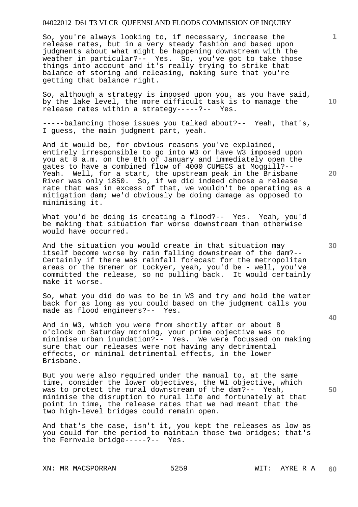So, you're always looking to, if necessary, increase the release rates, but in a very steady fashion and based upon judgments about what might be happening downstream with the weather in particular?-- Yes. So, you've got to take those things into account and it's really trying to strike that balance of storing and releasing, making sure that you're getting that balance right.

So, although a strategy is imposed upon you, as you have said, by the lake level, the more difficult task is to manage the release rates within a strategy-----?-- Yes.

-----balancing those issues you talked about?-- Yeah, that's, I guess, the main judgment part, yeah.

And it would be, for obvious reasons you've explained, entirely irresponsible to go into W3 or have W3 imposed upon you at 8 a.m. on the 8th of January and immediately open the gates to have a combined flow of 4000 CUMECS at Moggill?-- Yeah. Well, for a start, the upstream peak in the Brisbane River was only 1850. So, if we did indeed choose a release rate that was in excess of that, we wouldn't be operating as a mitigation dam; we'd obviously be doing damage as opposed to minimising it.

What you'd be doing is creating a flood?-- Yes. Yeah, you'd be making that situation far worse downstream than otherwise would have occurred.

And the situation you would create in that situation may itself become worse by rain falling downstream of the dam?-- Certainly if there was rainfall forecast for the metropolitan areas or the Bremer or Lockyer, yeah, you'd be - well, you've committed the release, so no pulling back. It would certainly make it worse.

So, what you did do was to be in W3 and try and hold the water back for as long as you could based on the judgment calls you made as flood engineers?-- Yes.

And in W3, which you were from shortly after or about 8 o'clock on Saturday morning, your prime objective was to minimise urban inundation?-- Yes. We were focussed on making sure that our releases were not having any detrimental effects, or minimal detrimental effects, in the lower Brisbane.

But you were also required under the manual to, at the same time, consider the lower objectives, the W1 objective, which was to protect the rural downstream of the dam?-- Yeah, minimise the disruption to rural life and fortunately at that point in time, the release rates that we had meant that the two high-level bridges could remain open.

And that's the case, isn't it, you kept the releases as low as you could for the period to maintain those two bridges; that's the Fernvale bridge-----?-- Yes.

**20** 

**40** 

**50** 

**10**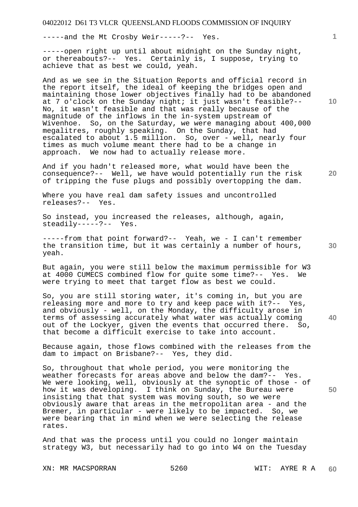-----and the Mt Crosby Weir-----?-- Yes.

-----open right up until about midnight on the Sunday night, or thereabouts?-- Yes. Certainly is, I suppose, trying to achieve that as best we could, yeah.

And as we see in the Situation Reports and official record in the report itself, the ideal of keeping the bridges open and maintaining those lower objectives finally had to be abandoned at 7 o'clock on the Sunday night; it just wasn't feasible?-- No, it wasn't feasible and that was really because of the magnitude of the inflows in the in-system upstream of Wivenhoe. So, on the Saturday, we were managing about 400,000 megalitres, roughly speaking. On the Sunday, that had escalated to about 1.5 million. So, over - well, nearly four times as much volume meant there had to be a change in approach. We now had to actually release more.

And if you hadn't released more, what would have been the consequence?-- Well, we have would potentially run the risk of tripping the fuse plugs and possibly overtopping the dam.

Where you have real dam safety issues and uncontrolled releases?-- Yes.

So instead, you increased the releases, although, again, steadily-----?-- Yes.

-----from that point forward?-- Yeah, we - I can't remember the transition time, but it was certainly a number of hours, yeah.

But again, you were still below the maximum permissible for W3 at 4000 CUMECS combined flow for quite some time?-- Yes. We were trying to meet that target flow as best we could.

So, you are still storing water, it's coming in, but you are releasing more and more to try and keep pace with it?-- Yes, and obviously - well, on the Monday, the difficulty arose in terms of assessing accurately what water was actually coming out of the Lockyer, given the events that occurred there. So, that become a difficult exercise to take into account.

Because again, those flows combined with the releases from the dam to impact on Brisbane?-- Yes, they did.

So, throughout that whole period, you were monitoring the weather forecasts for areas above and below the dam?-- Yes. We were looking, well, obviously at the synoptic of those - of how it was developing. I think on Sunday, the Bureau were insisting that that system was moving south, so we were obviously aware that areas in the metropolitan area - and the Bremer, in particular - were likely to be impacted. So, we were bearing that in mind when we were selecting the release rates.

And that was the process until you could no longer maintain strategy W3, but necessarily had to go into W4 on the Tuesday

XN: MR MACSPORRAN 5260 WIT: AYRE R A

**10** 

**1**

**20** 

**40** 

**50**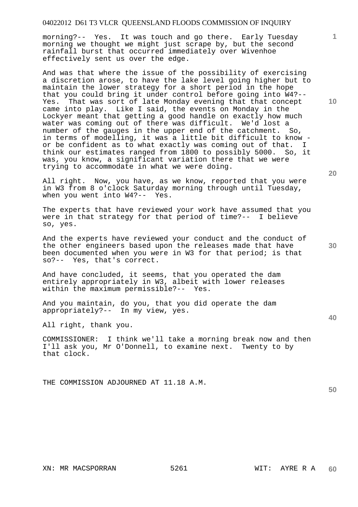morning?-- Yes. It was touch and go there. Early Tuesday morning we thought we might just scrape by, but the second rainfall burst that occurred immediately over Wivenhoe effectively sent us over the edge.

And was that where the issue of the possibility of exercising a discretion arose, to have the lake level going higher but to maintain the lower strategy for a short period in the hope that you could bring it under control before going into W4?-- Yes. That was sort of late Monday evening that that concept came into play. Like I said, the events on Monday in the Lockyer meant that getting a good handle on exactly how much water was coming out of there was difficult. We'd lost a number of the gauges in the upper end of the catchment. So, in terms of modelling, it was a little bit difficult to know or be confident as to what exactly was coming out of that. I think our estimates ranged from 1800 to possibly 5000. So, it was, you know, a significant variation there that we were trying to accommodate in what we were doing.

All right. Now, you have, as we know, reported that you were in W3 from 8 o'clock Saturday morning through until Tuesday, when you went into W4?-- Yes.

The experts that have reviewed your work have assumed that you were in that strategy for that period of time?-- I believe so, yes.

And the experts have reviewed your conduct and the conduct of the other engineers based upon the releases made that have been documented when you were in W3 for that period; is that so?-- Yes, that's correct.

And have concluded, it seems, that you operated the dam entirely appropriately in W3, albeit with lower releases within the maximum permissible?-- Yes.

And you maintain, do you, that you did operate the dam appropriately?-- In my view, yes.

All right, thank you.

COMMISSIONER: I think we'll take a morning break now and then I'll ask you, Mr O'Donnell, to examine next. Twenty to by that clock.

THE COMMISSION ADJOURNED AT 11.18 A.M.

**1**

**20** 

**40** 

**50**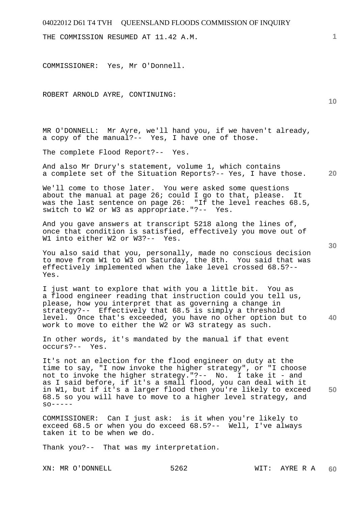THE COMMISSION RESUMED AT 11.42 A.M.

COMMISSIONER: Yes, Mr O'Donnell.

ROBERT ARNOLD AYRE, CONTINUING:

MR O'DONNELL: Mr Ayre, we'll hand you, if we haven't already, a copy of the manual?-- Yes, I have one of those.

The complete Flood Report?-- Yes.

**20**  And also Mr Drury's statement, volume 1, which contains a complete set of the Situation Reports?-- Yes, I have those.

We'll come to those later. You were asked some questions about the manual at page 26; could I go to that, please. It was the last sentence on page 26: "If the level reaches 68.5, switch to W2 or W3 as appropriate."?-- Yes.

And you gave answers at transcript 5218 along the lines of, once that condition is satisfied, effectively you move out of W1 into either W2 or W3?-- Yes.

You also said that you, personally, made no conscious decision to move from W1 to W3 on Saturday, the 8th. You said that was effectively implemented when the lake level crossed 68.5?-- Yes.

**40**  I just want to explore that with you a little bit. You as a flood engineer reading that instruction could you tell us, please, how you interpret that as governing a change in strategy?-- Effectively that 68.5 is simply a threshold level. Once that's exceeded, you have no other option but to work to move to either the W2 or W3 strategy as such.

In other words, it's mandated by the manual if that event occurs?-- Yes.

**50**  It's not an election for the flood engineer on duty at the time to say, "I now invoke the higher strategy", or "I choose not to invoke the higher strategy."?-- No. I take it - and as I said before, if it's a small flood, you can deal with it in W1, but if it's a larger flood then you're likely to exceed 68.5 so you will have to move to a higher level strategy, and  $SO-----$ 

COMMISSIONER: Can I just ask: is it when you're likely to exceed 68.5 or when you do exceed 68.5?-- Well, I've always taken it to be when we do.

Thank you?-- That was my interpretation.

**10**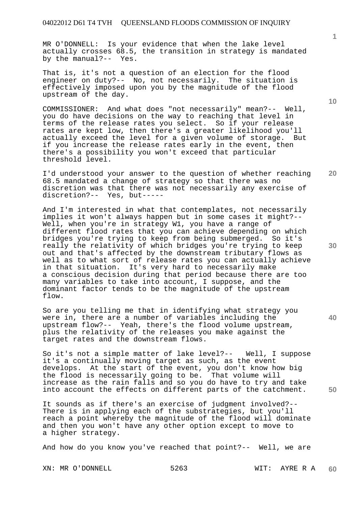MR O'DONNELL: Is your evidence that when the lake level actually crosses 68.5, the transition in strategy is mandated by the manual?-- Yes.

That is, it's not a question of an election for the flood engineer on duty?-- No, not necessarily. The situation is effectively imposed upon you by the magnitude of the flood upstream of the day.

COMMISSIONER: And what does "not necessarily" mean?-- Well, you do have decisions on the way to reaching that level in terms of the release rates you select. So if your release rates are kept low, then there's a greater likelihood you'll actually exceed the level for a given volume of storage. But if you increase the release rates early in the event, then there's a possibility you won't exceed that particular threshold level.

**20**  I'd understood your answer to the question of whether reaching 68.5 mandated a change of strategy so that there was no discretion was that there was not necessarily any exercise of discretion?-- Yes, but-----

And I'm interested in what that contemplates, not necessarily implies it won't always happen but in some cases it might?-- Well, when you're in strategy W1, you have a range of different flood rates that you can achieve depending on which bridges you're trying to keep from being submerged. So it's really the relativity of which bridges you're trying to keep out and that's affected by the downstream tributary flows as well as to what sort of release rates you can actually achieve in that situation. It's very hard to necessarily make a conscious decision during that period because there are too many variables to take into account, I suppose, and the dominant factor tends to be the magnitude of the upstream flow.

So are you telling me that in identifying what strategy you were in, there are a number of variables including the upstream flow?-- Yeah, there's the flood volume upstream, plus the relativity of the releases you make against the target rates and the downstream flows.

So it's not a simple matter of lake level?-- Well, I suppose it's a continually moving target as such, as the event develops. At the start of the event, you don't know how big the flood is necessarily going to be. That volume will increase as the rain falls and so you do have to try and take into account the effects on different parts of the catchment.

It sounds as if there's an exercise of judgment involved?-- There is in applying each of the substrategies, but you'll reach a point whereby the magnitude of the flood will dominate and then you won't have any other option except to move to a higher strategy.

And how do you know you've reached that point?-- Well, we are

XN: MR O'DONNELL 5263 WIT: AYRE R A

**10** 

**1**

**30** 

**40**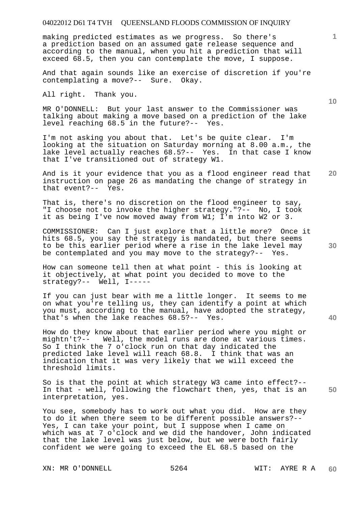making predicted estimates as we progress. So there's a prediction based on an assumed gate release sequence and according to the manual, when you hit a prediction that will exceed 68.5, then you can contemplate the move, I suppose.

And that again sounds like an exercise of discretion if you're contemplating a move?-- Sure. Okay.

All right. Thank you.

MR O'DONNELL: But your last answer to the Commissioner was talking about making a move based on a prediction of the lake level reaching 68.5 in the future?-- Yes.

I'm not asking you about that. Let's be quite clear. I'm looking at the situation on Saturday morning at 8.00 a.m., the lake level actually reaches 68.5?-- Yes. In that case I know that I've transitioned out of strategy W1.

**20**  And is it your evidence that you as a flood engineer read that instruction on page 26 as mandating the change of strategy in that event?-- Yes.

That is, there's no discretion on the flood engineer to say, "I choose not to invoke the higher strategy."?-- No, I took it as being I've now moved away from W1; I'm into W2 or 3.

COMMISSIONER: Can I just explore that a little more? Once it hits 68.5, you say the strategy is mandated, but there seems to be this earlier period where a rise in the lake level may be contemplated and you may move to the strategy?-- Yes.

How can someone tell then at what point - this is looking at it objectively, at what point you decided to move to the strategy?-- Well, I-----

If you can just bear with me a little longer. It seems to me on what you're telling us, they can identify a point at which you must, according to the manual, have adopted the strategy, that's when the lake reaches 68.5?-- Yes.

How do they know about that earlier period where you might or mightn't?-- Well, the model runs are done at various times. So I think the 7 o'clock run on that day indicated the predicted lake level will reach 68.8. I think that was an indication that it was very likely that we will exceed the threshold limits.

**50**  So is that the point at which strategy W3 came into effect?-- In that - well, following the flowchart then, yes, that is an interpretation, yes.

You see, somebody has to work out what you did. How are they to do it when there seem to be different possible answers?-- Yes, I can take your point, but I suppose when I came on which was at 7 o'clock and we did the handover, John indicated that the lake level was just below, but we were both fairly confident we were going to exceed the EL 68.5 based on the

XN: MR O'DONNELL 5264 WIT: AYRE R A

**10** 

**1**

**30**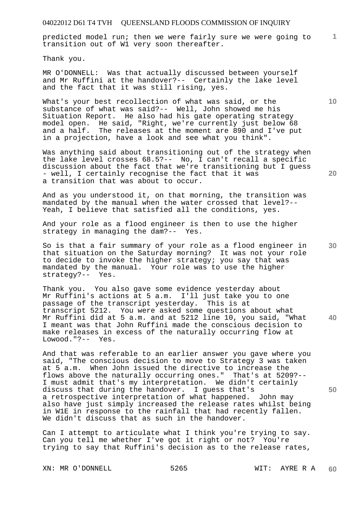predicted model run; then we were fairly sure we were going to transition out of W1 very soon thereafter.

Thank you.

MR O'DONNELL: Was that actually discussed between yourself and Mr Ruffini at the handover?-- Certainly the lake level and the fact that it was still rising, yes.

What's your best recollection of what was said, or the substance of what was said?-- Well, John showed me his Situation Report. He also had his gate operating strategy model open. He said, "Right, we're currently just below 68 and a half. The releases at the moment are 890 and I've put in a projection, have a look and see what you think".

Was anything said about transitioning out of the strategy when the lake level crosses 68.5?-- No, I can't recall a specific discussion about the fact that we're transitioning but I guess - well, I certainly recognise the fact that it was a transition that was about to occur.

And as you understood it, on that morning, the transition was mandated by the manual when the water crossed that level?-- Yeah, I believe that satisfied all the conditions, yes.

And your role as a flood engineer is then to use the higher strategy in managing the dam?-- Yes.

So is that a fair summary of your role as a flood engineer in that situation on the Saturday morning? It was not your role to decide to invoke the higher strategy; you say that was mandated by the manual. Your role was to use the higher strategy?-- Yes.

Thank you. You also gave some evidence yesterday about Mr Ruffini's actions at 5 a.m. I'll just take you to one passage of the transcript yesterday. This is at transcript 5212. You were asked some questions about what Mr Ruffini did at 5 a.m. and at 5212 line 10, you said, "What I meant was that John Ruffini made the conscious decision to make releases in excess of the naturally occurring flow at Lowood."?-- Yes.

And that was referable to an earlier answer you gave where you said, "The conscious decision to move to Strategy 3 was taken at 5 a.m. When John issued the directive to increase the flows above the naturally occurring ones." That's at 5209?-- I must admit that's my interpretation. We didn't certainly discuss that during the handover. I guess that's a retrospective interpretation of what happened. John may also have just simply increased the release rates whilst being in W1E in response to the rainfall that had recently fallen. We didn't discuss that as such in the handover.

Can I attempt to articulate what I think you're trying to say. Can you tell me whether I've got it right or not? You're trying to say that Ruffini's decision as to the release rates,

XN: MR O'DONNELL 5265 WIT: AYRE R A

**10** 

**1**

**30** 

**40** 

**50**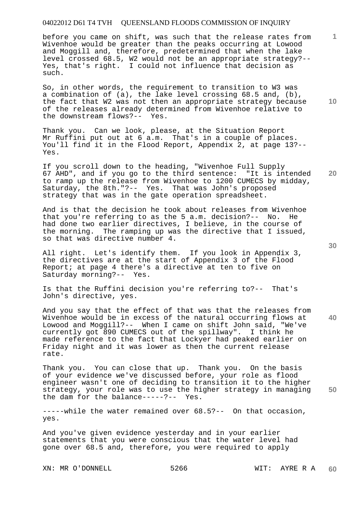before you came on shift, was such that the release rates from Wivenhoe would be greater than the peaks occurring at Lowood and Moggill and, therefore, predetermined that when the lake level crossed 68.5, W2 would not be an appropriate strategy?-- Yes, that's right. I could not influence that decision as such.

So, in other words, the requirement to transition to W3 was a combination of (a), the lake level crossing 68.5 and, (b), the fact that W2 was not then an appropriate strategy because of the releases already determined from Wivenhoe relative to the downstream flows?-- Yes.

Thank you. Can we look, please, at the Situation Report Mr Ruffini put out at 6 a.m. That's in a couple of places. You'll find it in the Flood Report, Appendix 2, at page 13?-- Yes.

If you scroll down to the heading, "Wivenhoe Full Supply 67 AHD", and if you go to the third sentence: "It is intended to ramp up the release from Wivenhoe to 1200 CUMECS by midday, Saturday, the 8th."?-- Yes. That was John's proposed strategy that was in the gate operation spreadsheet.

And is that the decision he took about releases from Wivenhoe that you're referring to as the 5 a.m. decision?-- No. He had done two earlier directives, I believe, in the course of the morning. The ramping up was the directive that I issued, so that was directive number 4.

All right. Let's identify them. If you look in Appendix 3, the directives are at the start of Appendix 3 of the Flood Report; at page 4 there's a directive at ten to five on Saturday morning?-- Yes.

Is that the Ruffini decision you're referring to?-- That's John's directive, yes.

And you say that the effect of that was that the releases from Wivenhoe would be in excess of the natural occurring flows at Lowood and Moggill?-- When I came on shift John said, "We've currently got 890 CUMECS out of the spillway". I think he made reference to the fact that Lockyer had peaked earlier on Friday night and it was lower as then the current release rate.

**50**  Thank you. You can close that up. Thank you. On the basis of your evidence we've discussed before, your role as flood engineer wasn't one of deciding to transition it to the higher strategy, your role was to use the higher strategy in managing the dam for the balance-----?-- Yes.

-----while the water remained over 68.5?-- On that occasion, yes.

And you've given evidence yesterday and in your earlier statements that you were conscious that the water level had gone over 68.5 and, therefore, you were required to apply

XN: MR O'DONNELL 5266 WIT: AYRE R A

**10** 

**20** 

**1**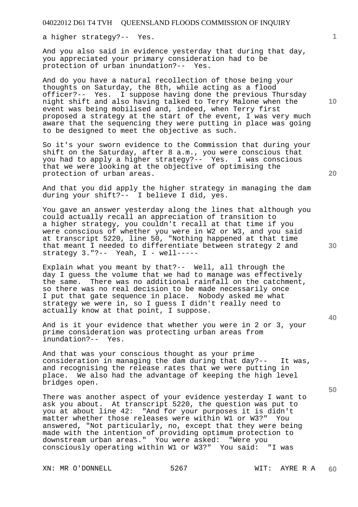a higher strategy?-- Yes.

And you also said in evidence yesterday that during that day, you appreciated your primary consideration had to be protection of urban inundation?-- Yes.

And do you have a natural recollection of those being your thoughts on Saturday, the 8th, while acting as a flood officer?-- Yes. I suppose having done the previous Thursday night shift and also having talked to Terry Malone when the event was being mobilised and, indeed, when Terry first proposed a strategy at the start of the event, I was very much aware that the sequencing they were putting in place was going to be designed to meet the objective as such.

So it's your sworn evidence to the Commission that during your shift on the Saturday, after 8 a.m., you were conscious that you had to apply a higher strategy?-- Yes. I was conscious that we were looking at the objective of optimising the protection of urban areas.

And that you did apply the higher strategy in managing the dam during your shift?-- I believe I did, yes.

You gave an answer yesterday along the lines that although you could actually recall an appreciation of transition to a higher strategy, you couldn't recall at that time if you were conscious of whether you were in W2 or W3, and you said at transcript 5220, line 50, "Nothing happened at that time that meant I needed to differentiate between strategy 2 and strategy  $3.$  "?-- Yeah,  $I$  - well-----

Explain what you meant by that?-- Well, all through the day I guess the volume that we had to manage was effectively the same. There was no additional rainfall on the catchment, so there was no real decision to be made necessarily once I put that gate sequence in place. Nobody asked me what strategy we were in, so I guess I didn't really need to actually know at that point, I suppose.

And is it your evidence that whether you were in 2 or 3, your prime consideration was protecting urban areas from inundation?-- Yes.

And that was your conscious thought as your prime consideration in managing the dam during that day?-- It was, and recognising the release rates that we were putting in place. We also had the advantage of keeping the high level bridges open.

There was another aspect of your evidence yesterday I want to ask you about. At transcript 5220, the question was put to you at about line 42: "And for your purposes it is didn't matter whether those releases were within W1 or W3?" You answered, "Not particularly, no, except that they were being made with the intention of providing optimum protection to downstream urban areas." You were asked: "Were you consciously operating within W1 or W3?" You said: "I was

XN: MR O'DONNELL 5267 WIT: AYRE R A

**10** 

**1**

**20** 

**40**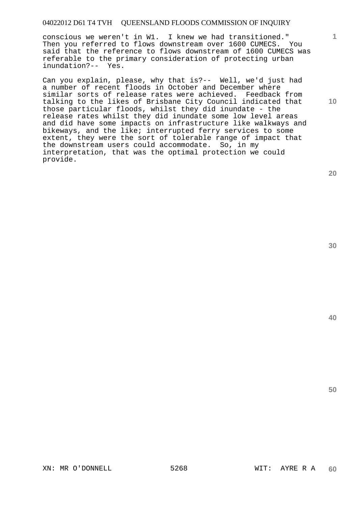conscious we weren't in W1. I knew we had transitioned." Then you referred to flows downstream over 1600 CUMECS. You said that the reference to flows downstream of 1600 CUMECS was referable to the primary consideration of protecting urban inundation?-- Yes.

Can you explain, please, why that is?-- Well, we'd just had a number of recent floods in October and December where similar sorts of release rates were achieved. Feedback from talking to the likes of Brisbane City Council indicated that those particular floods, whilst they did inundate - the release rates whilst they did inundate some low level areas and did have some impacts on infrastructure like walkways and bikeways, and the like; interrupted ferry services to some extent, they were the sort of tolerable range of impact that the downstream users could accommodate. So, in my interpretation, that was the optimal protection we could provide.

**20** 

**10** 

**1**

**30** 

**40**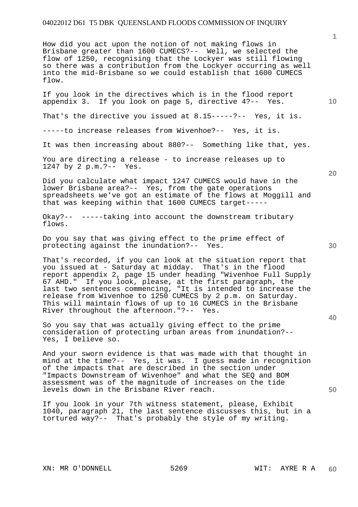How did you act upon the notion of not making flows in Brisbane greater than 1600 CUMECS?-- Well, we selected the flow of 1250, recognising that the Lockyer was still flowing so there was a contribution from the Lockyer occurring as well into the mid-Brisbane so we could establish that 1600 CUMECS flow.

If you look in the directives which is in the flood report appendix 3. If you look on page 5, directive 4?-- Yes.

That's the directive you issued at 8.15-----?-- Yes, it is.

-----to increase releases from Wivenhoe?-- Yes, it is.

It was then increasing about 880?-- Something like that, yes.

You are directing a release - to increase releases up to 1247 by 2 p.m.?-- Yes.

Did you calculate what impact 1247 CUMECS would have in the lower Brisbane area?-- Yes, from the gate operations spreadsheets we've got an estimate of the flows at Moggill and that was keeping within that 1600 CUMECS target-----

Okay?-- -----taking into account the downstream tributary flows.

Do you say that was giving effect to the prime effect of protecting against the inundation?-- Yes.

That's recorded, if you can look at the situation report that you issued at - Saturday at midday. That's in the flood report appendix 2, page 15 under heading "Wivenhoe Full Supply 67 AHD." If you look, please, at the first paragraph, the last two sentences commencing, "It is intended to increase the release from Wivenhoe to 1250 CUMECS by 2 p.m. on Saturday. This will maintain flows of up to 16 CUMECS in the Brisbane River throughout the afternoon."?-- Yes.

So you say that was actually giving effect to the prime consideration of protecting urban areas from inundation?-- Yes, I believe so.

And your sworn evidence is that was made with that thought in mind at the time?-- Yes, it was. I guess made in recognition of the impacts that are described in the section under "Impacts Downstream of Wivenhoe" and what the SEQ and BOM assessment was of the magnitude of increases on the tide levels down in the Brisbane River reach.

If you look in your 7th witness statement, please, Exhibit 1040, paragraph 21, the last sentence discusses this, but in a tortured way?-- That's probably the style of my writing.

**10** 

**1**

**20** 

**30** 

**40**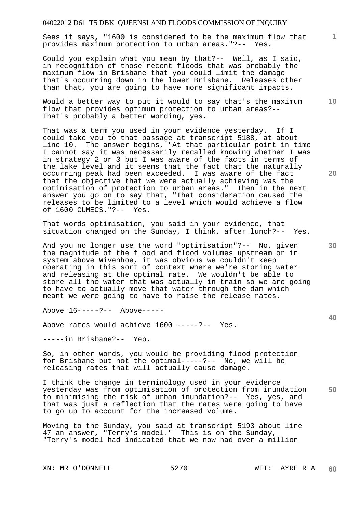Sees it says, "1600 is considered to be the maximum flow that provides maximum protection to urban areas."?-- Yes.

Could you explain what you mean by that?-- Well, as I said, in recognition of those recent floods that was probably the maximum flow in Brisbane that you could limit the damage that's occurring down in the lower Brisbane. Releases other than that, you are going to have more significant impacts.

Would a better way to put it would to say that's the maximum flow that provides optimum protection to urban areas?-- That's probably a better wording, yes.

That was a term you used in your evidence yesterday. If I could take you to that passage at transcript 5188, at about line 10. The answer begins, "At that particular point in time I cannot say it was necessarily recalled knowing whether I was in strategy 2 or 3 but I was aware of the facts in terms of the lake level and it seems that the fact that the naturally occurring peak had been exceeded. I was aware of the fact that the objective that we were actually achieving was the optimisation of protection to urban areas." Then in the next answer you go on to say that, "That consideration caused the releases to be limited to a level which would achieve a flow of 1600 CUMECS."?-- Yes.

That words optimisation, you said in your evidence, that situation changed on the Sunday, I think, after lunch?-- Yes.

And you no longer use the word "optimisation"?-- No, given the magnitude of the flood and flood volumes upstream or in system above Wivenhoe, it was obvious we couldn't keep operating in this sort of context where we're storing water and releasing at the optimal rate. We wouldn't be able to store all the water that was actually in train so we are going to have to actually move that water through the dam which meant we were going to have to raise the release rates.

Above 16-----?-- Above-----

Above rates would achieve 1600 -----?-- Yes.

-----in Brisbane?-- Yep.

So, in other words, you would be providing flood protection for Brisbane but not the optimal-----?-- No, we will be releasing rates that will actually cause damage.

**50**  I think the change in terminology used in your evidence yesterday was from optimisation of protection from inundation to minimising the risk of urban inundation?-- Yes, yes, and that was just a reflection that the rates were going to have to go up to account for the increased volume.

Moving to the Sunday, you said at transcript 5193 about line 47 an answer, "Terry's model." This is on the Sunday, "Terry's model had indicated that we now had over a million

XN: MR O'DONNELL 5270 WIT: AYRE R A

**20** 

**10** 

**1**

**30**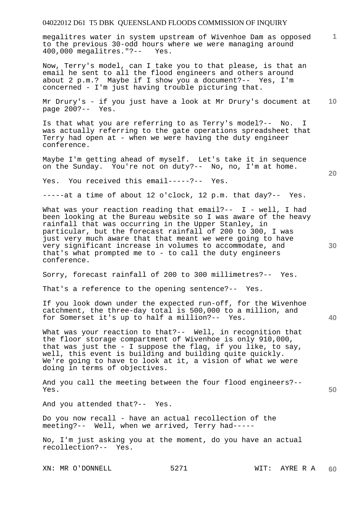megalitres water in system upstream of Wivenhoe Dam as opposed to the previous 30-odd hours where we were managing around 400,000 megalitres."?-- Yes.

Now, Terry's model, can I take you to that please, is that an email he sent to all the flood engineers and others around about 2 p.m.? Maybe if I show you a document?-- Yes, I'm concerned - I'm just having trouble picturing that.

**10**  Mr Drury's - if you just have a look at Mr Drury's document at page 200?-- Yes.

Is that what you are referring to as Terry's model?-- No. I was actually referring to the gate operations spreadsheet that Terry had open at - when we were having the duty engineer conference.

Maybe I'm getting ahead of myself. Let's take it in sequence on the Sunday. You're not on duty?-- No, no, I'm at home.

Yes. You received this email-----?-- Yes.

-----at a time of about 12 o'clock, 12 p.m. that day?-- Yes.

What was your reaction reading that  $email? -- I - well, I had$ been looking at the Bureau website so I was aware of the heavy rainfall that was occurring in the Upper Stanley, in particular, but the forecast rainfall of 200 to 300, I was just very much aware that that meant we were going to have very significant increase in volumes to accommodate, and that's what prompted me to - to call the duty engineers conference.

Sorry, forecast rainfall of 200 to 300 millimetres?-- Yes.

That's a reference to the opening sentence?-- Yes.

If you look down under the expected run-off, for the Wivenhoe catchment, the three-day total is 500,000 to a million, and for Somerset it's up to half a million?-- Yes.

What was your reaction to that?-- Well, in recognition that the floor storage compartment of Wivenhoe is only 910,000, that was just the - I suppose the flag, if you like, to say, well, this event is building and building quite quickly. We're going to have to look at it, a vision of what we were doing in terms of objectives.

And you call the meeting between the four flood engineers?-- Yes.

And you attended that?-- Yes.

Do you now recall - have an actual recollection of the meeting?-- Well, when we arrived, Terry had-----

No, I'm just asking you at the moment, do you have an actual recollection?-- Yes.

XN: MR O'DONNELL 5271 WIT: AYRE R A

**20** 

**1**

**40**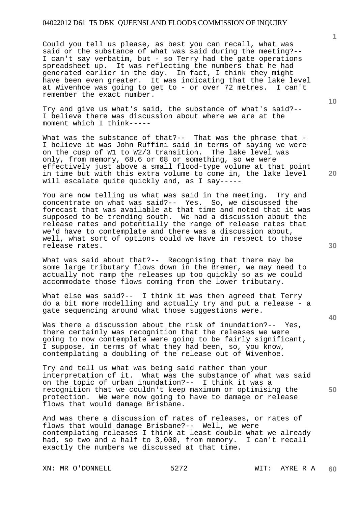Could you tell us please, as best you can recall, what was said or the substance of what was said during the meeting?-- I can't say verbatim, but - so Terry had the gate operations spreadsheet up. It was reflecting the numbers that he had generated earlier in the day. In fact, I think they might have been even greater. It was indicating that the lake level at Wivenhoe was going to get to - or over 72 metres. I can't remember the exact number.

Try and give us what's said, the substance of what's said?-- I believe there was discussion about where we are at the moment which I think-----

What was the substance of that?-- That was the phrase that -I believe it was John Ruffini said in terms of saying we were on the cusp of W1 to W2/3 transition. The lake level was only, from memory, 68.6 or 68 or something, so we were effectively just above a small flood-type volume at that point in time but with this extra volume to come in, the lake level will escalate quite quickly and, as I say-----

You are now telling us what was said in the meeting. Try and concentrate on what was said?-- Yes. So, we discussed the forecast that was available at that time and noted that it was supposed to be trending south. We had a discussion about the release rates and potentially the range of release rates that we'd have to contemplate and there was a discussion about, well, what sort of options could we have in respect to those release rates.

What was said about that?-- Recognising that there may be some large tributary flows down in the Bremer, we may need to actually not ramp the releases up too quickly so as we could accommodate those flows coming from the lower tributary.

What else was said?-- I think it was then agreed that Terry do a bit more modelling and actually try and put a release - a gate sequencing around what those suggestions were.

Was there a discussion about the risk of inundation?-- Yes, there certainly was recognition that the releases we were going to now contemplate were going to be fairly significant, I suppose, in terms of what they had been, so, you know, contemplating a doubling of the release out of Wivenhoe.

Try and tell us what was being said rather than your interpretation of it. What was the substance of what was said on the topic of urban inundation?-- I think it was a recognition that we couldn't keep maximum or optimising the protection. We were now going to have to damage or release flows that would damage Brisbane.

And was there a discussion of rates of releases, or rates of flows that would damage Brisbane?-- Well, we were contemplating releases I think at least double what we already had, so two and a half to 3,000, from memory. I can't recall exactly the numbers we discussed at that time.

XN: MR O'DONNELL 5272 WIT: AYRE R A

**20** 

**10** 

**1**

**40**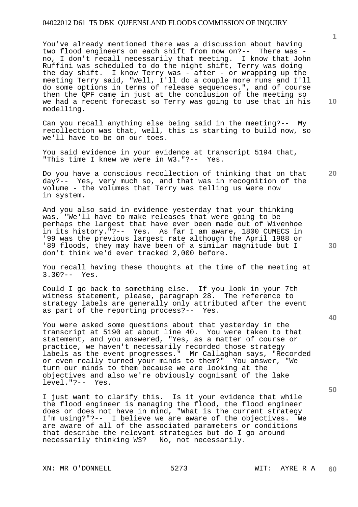You've already mentioned there was a discussion about having two flood engineers on each shift from now on?-- There was no, I don't recall necessarily that meeting. I know that John Ruffini was scheduled to do the night shift, Terry was doing the day shift. I know Terry was - after - or wrapping up the meeting Terry said, "Well, I'll do a couple more runs and I'll do some options in terms of release sequences.", and of course then the QPF came in just at the conclusion of the meeting so we had a recent forecast so Terry was going to use that in his modelling.

Can you recall anything else being said in the meeting?-- My recollection was that, well, this is starting to build now, so we'll have to be on our toes.

You said evidence in your evidence at transcript 5194 that, "This time I knew we were in W3."?-- Yes.

Do you have a conscious recollection of thinking that on that day?-- Yes, very much so, and that was in recognition of the volume - the volumes that Terry was telling us were now in system.

And you also said in evidence yesterday that your thinking was, "We'll have to make releases that were going to be perhaps the largest that have ever been made out of Wivenhoe in its history."?-- Yes. As far I am aware, 1800 CUMECS in '99 was the previous largest rate although the April 1988 or '89 floods, they may have been of a similar magnitude but I don't think we'd ever tracked 2,000 before.

You recall having these thoughts at the time of the meeting at 3.30?-- Yes.

Could I go back to something else. If you look in your 7th witness statement, please, paragraph 28. The reference to strategy labels are generally only attributed after the event as part of the reporting process?-- Yes.

You were asked some questions about that yesterday in the transcript at 5190 at about line 40. You were taken to that statement, and you answered, "Yes, as a matter of course or practice, we haven't necessarily recorded those strategy labels as the event progresses." Mr Callaghan says, "Recorded or even really turned your minds to them?" You answer, "We turn our minds to them because we are looking at the objectives and also we're obviously cognisant of the lake level."?-- Yes.

I just want to clarify this. Is it your evidence that while the flood engineer is managing the flood, the flood engineer does or does not have in mind, "What is the current strategy I'm using?"?-- I believe we are aware of the objectives. We are aware of all of the associated parameters or conditions that describe the relevant strategies but do I go around necessarily thinking W3? No, not necessarily.

XN: MR O'DONNELL 5273 WIT: AYRE R A

**1**

**20** 

**40** 

**30**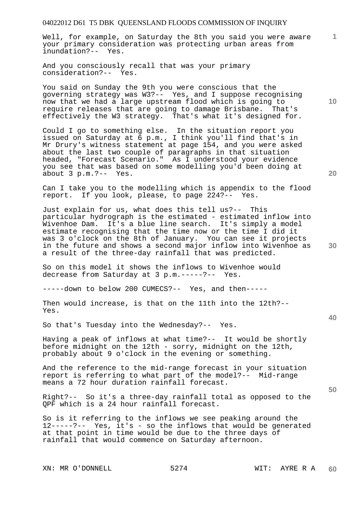Well, for example, on Saturday the 8th you said you were aware your primary consideration was protecting urban areas from inundation?-- Yes.

And you consciously recall that was your primary consideration?-- Yes.

You said on Sunday the 9th you were conscious that the governing strategy was W3?-- Yes, and I suppose recognising now that we had a large upstream flood which is going to require releases that are going to damage Brisbane. That's effectively the W3 strategy. That's what it's designed for.

Could I go to something else. In the situation report you issued on Saturday at 6 p.m., I think you'll find that's in Mr Drury's witness statement at page 154, and you were asked about the last two couple of paragraphs in that situation headed, "Forecast Scenario." As I understood your evidence you see that was based on some modelling you'd been doing at about 3 p.m.?-- Yes.

Can I take you to the modelling which is appendix to the flood report. If you look, please, to page 224?-- Yes.

Just explain for us, what does this tell us?-- This particular hydrograph is the estimated - estimated inflow into Wivenhoe Dam. It's a blue line search. It's simply a model estimate recognising that the time now or the time I did it was 3 o'clock on the 8th of January. You can see it projects in the future and shows a second major inflow into Wivenhoe as a result of the three-day rainfall that was predicted.

So on this model it shows the inflows to Wivenhoe would decrease from Saturday at 3 p.m.-----?-- Yes.

-----down to below 200 CUMECS?-- Yes, and then-----

Then would increase, is that on the 11th into the 12th?-- Yes.

So that's Tuesday into the Wednesday?-- Yes.

Having a peak of inflows at what time?-- It would be shortly before midnight on the 12th - sorry, midnight on the 12th, probably about 9 o'clock in the evening or something.

And the reference to the mid-range forecast in your situation report is referring to what part of the model?-- Mid-range means a 72 hour duration rainfall forecast.

Right?-- So it's a three-day rainfall total as opposed to the QPF which is a 24 hour rainfall forecast.

So is it referring to the inflows we see peaking around the 12-----?-- Yes, it's - so the inflows that would be generated at that point in time would be due to the three days of rainfall that would commence on Saturday afternoon.

XN: MR O'DONNELL 5274 WIT: AYRE R A

**10** 

**1**

**40** 

**50**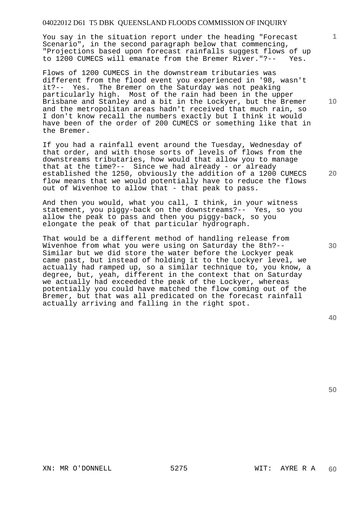You say in the situation report under the heading "Forecast Scenario", in the second paragraph below that commencing, "Projections based upon forecast rainfalls suggest flows of up to 1200 CUMECS will emanate from the Bremer River."?-- Yes.

Flows of 1200 CUMECS in the downstream tributaries was different from the flood event you experienced in '98, wasn't it?-- Yes. The Bremer on the Saturday was not peaking particularly high. Most of the rain had been in the upper Brisbane and Stanley and a bit in the Lockyer, but the Bremer and the metropolitan areas hadn't received that much rain, so I don't know recall the numbers exactly but I think it would have been of the order of 200 CUMECS or something like that in the Bremer.

If you had a rainfall event around the Tuesday, Wednesday of that order, and with those sorts of levels of flows from the downstreams tributaries, how would that allow you to manage that at the time?-- Since we had already - or already established the 1250, obviously the addition of a 1200 CUMECS flow means that we would potentially have to reduce the flows out of Wivenhoe to allow that - that peak to pass.

And then you would, what you call, I think, in your witness statement, you piggy-back on the downstreams?-- Yes, so you allow the peak to pass and then you piggy-back, so you elongate the peak of that particular hydrograph.

That would be a different method of handling release from Wivenhoe from what you were using on Saturday the 8th?-- Similar but we did store the water before the Lockyer peak came past, but instead of holding it to the Lockyer level, we actually had ramped up, so a similar technique to, you know, a degree, but, yeah, different in the context that on Saturday we actually had exceeded the peak of the Lockyer, whereas potentially you could have matched the flow coming out of the Bremer, but that was all predicated on the forecast rainfall actually arriving and falling in the right spot.

**50** 

**30** 

XN: MR O'DONNELL 5275 WIT: AYRE R A

**1**

**20**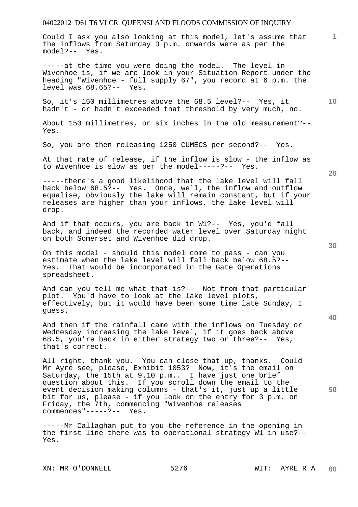Could I ask you also looking at this model, let's assume that the inflows from Saturday 3 p.m. onwards were as per the model?-- Yes.

-----at the time you were doing the model. The level in Wivenhoe is, if we are look in your Situation Report under the heading "Wivenhoe - full supply 67", you record at 6 p.m. the level was 68.65?-- Yes.

So, it's 150 millimetres above the 68.5 level?-- Yes, it hadn't - or hadn't exceeded that threshold by very much, no.

About 150 millimetres, or six inches in the old measurement?-- Yes.

So, you are then releasing 1250 CUMECS per second?-- Yes.

At that rate of release, if the inflow is slow - the inflow as to Wivenhoe is slow as per the model-----?-- Yes.

-----there's a good likelihood that the lake level will fall back below 68.5?-- Yes. Once, well, the inflow and outflow equalise, obviously the lake will remain constant, but if your releases are higher than your inflows, the lake level will drop.

And if that occurs, you are back in W1?-- Yes, you'd fall back, and indeed the recorded water level over Saturday night on both Somerset and Wivenhoe did drop.

On this model - should this model come to pass - can you estimate when the lake level will fall back below 68.5?--<br>Yes. That would be incorporated in the Gate Operations That would be incorporated in the Gate Operations spreadsheet.

And can you tell me what that is?-- Not from that particular plot. You'd have to look at the lake level plots, effectively, but it would have been some time late Sunday, I guess.

And then if the rainfall came with the inflows on Tuesday or Wednesday increasing the lake level, if it goes back above 68.5, you're back in either strategy two or three?-- Yes, that's correct.

All right, thank you. You can close that up, thanks. Could Mr Ayre see, please, Exhibit 1053? Now, it's the email on Saturday, the 15th at 9.10 p.m.. I have just one brief question about this. If you scroll down the email to the event decision making columns - that's it, just up a little bit for us, please - if you look on the entry for 3 p.m. on Friday, the 7th, commencing "Wivenhoe releases commences"-----?-- Yes.

-----Mr Callaghan put to you the reference in the opening in the first line there was to operational strategy W1 in use?-- Yes.

XN: MR O'DONNELL 5276 WIT: AYRE R A

**30** 

**20** 

**50** 

**10**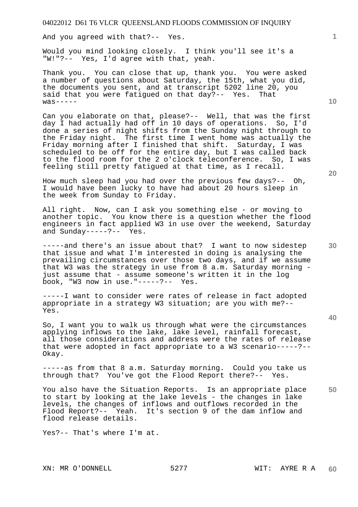And you agreed with that?-- Yes.

Would you mind looking closely. I think you'll see it's a "W!"?-- Yes, I'd agree with that, yeah.

Thank you. You can close that up, thank you. You were asked a number of questions about Saturday, the 15th, what you did, the documents you sent, and at transcript 5202 line 20, you said that you were fatigued on that day?-- Yes. That  $was---$ 

Can you elaborate on that, please?-- Well, that was the first day I had actually had off in 10 days of operations. So, I'd done a series of night shifts from the Sunday night through to the Friday night. The first time I went home was actually the Friday morning after I finished that shift. Saturday, I was scheduled to be off for the entire day, but I was called back to the flood room for the 2 o'clock teleconference. So, I was feeling still pretty fatigued at that time, as I recall.

How much sleep had you had over the previous few days?-- Oh, I would have been lucky to have had about 20 hours sleep in the week from Sunday to Friday.

All right. Now, can I ask you something else - or moving to another topic. You know there is a question whether the flood engineers in fact applied W3 in use over the weekend, Saturday and Sunday-----?-- Yes.

-----and there's an issue about that? I want to now sidestep that issue and what I'm interested in doing is analysing the prevailing circumstances over those two days, and if we assume that W3 was the strategy in use from 8 a.m. Saturday morning just assume that - assume someone's written it in the log book, "W3 now in use."-----?-- Yes.

-----I want to consider were rates of release in fact adopted appropriate in a strategy W3 situation; are you with me?-- Yes.

So, I want you to walk us through what were the circumstances applying inflows to the lake, lake level, rainfall forecast, all those considerations and address were the rates of release that were adopted in fact appropriate to a W3 scenario-----?-- Okay.

-----as from that 8 a.m. Saturday morning. Could you take us through that? You've got the Flood Report there?-- Yes.

You also have the Situation Reports. Is an appropriate place to start by looking at the lake levels - the changes in lake levels, the changes of inflows and outflows recorded in the Flood Report?-- Yeah. It's section 9 of the dam inflow and flood release details.

Yes?-- That's where I'm at.

**10** 

**1**

**30** 

**20** 

**40**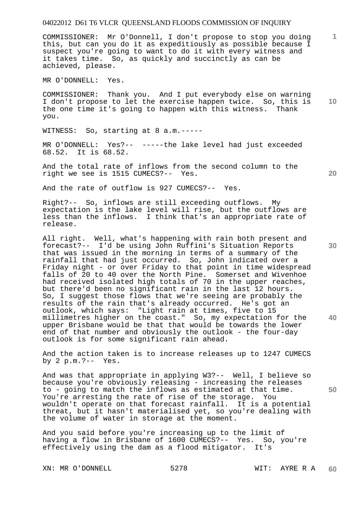COMMISSIONER: Mr O'Donnell, I don't propose to stop you doing this, but can you do it as expeditiously as possible because I suspect you're going to want to do it with every witness and it takes time. So, as quickly and succinctly as can be achieved, please.

MR O'DONNELL: Yes.

**10**  COMMISSIONER: Thank you. And I put everybody else on warning I don't propose to let the exercise happen twice. So, this is the one time it's going to happen with this witness. Thank you.

WITNESS: So, starting at 8 a.m.-----

MR O'DONNELL: Yes?-- -----the lake level had just exceeded 68.52. It is 68.52.

And the total rate of inflows from the second column to the right we see is 1515 CUMECS?-- Yes.

And the rate of outflow is 927 CUMECS?-- Yes.

Right?-- So, inflows are still exceeding outflows. My expectation is the lake level will rise, but the outflows are less than the inflows. I think that's an appropriate rate of release.

All right. Well, what's happening with rain both present and forecast?-- I'd be using John Ruffini's Situation Reports that was issued in the morning in terms of a summary of the rainfall that had just occurred. So, John indicated over a Friday night - or over Friday to that point in time widespread falls of 20 to 40 over the North Pine. Somerset and Wivenhoe had received isolated high totals of 70 in the upper reaches, but there'd been no significant rain in the last 12 hours. So, I suggest those flows that we're seeing are probably the results of the rain that's already occurred. He's got an outlook, which says: "Light rain at times, five to 15 millimetres higher on the coast." So, my expectation for the upper Brisbane would be that that would be towards the lower end of that number and obviously the outlook - the four-day outlook is for some significant rain ahead.

And the action taken is to increase releases up to 1247 CUMECS by 2 p.m.?-- Yes.

And was that appropriate in applying W3?-- Well, I believe so because you're obviously releasing - increasing the releases to - going to match the inflows as estimated at that time. You're arresting the rate of rise of the storage. You wouldn't operate on that forecast rainfall. It is a potential threat, but it hasn't materialised yet, so you're dealing with the volume of water in storage at the moment.

And you said before you're increasing up to the limit of having a flow in Brisbane of 1600 CUMECS?-- Yes. So, you're effectively using the dam as a flood mitigator. It's

XN: MR O'DONNELL 5278 WIT: AYRE R A

**20** 

**40** 

**50** 

**30**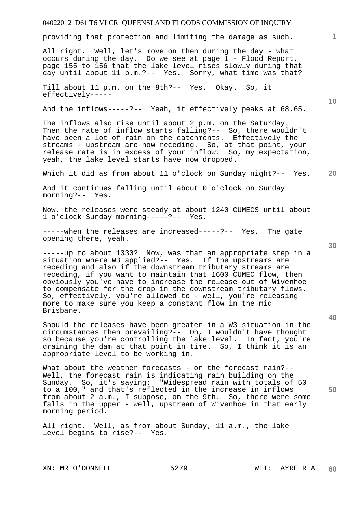providing that protection and limiting the damage as such.

All right. Well, let's move on then during the day - what occurs during the day. Do we see at page 1 - Flood Report, page 155 to 156 that the lake level rises slowly during that day until about 11 p.m.?-- Yes. Sorry, what time was that?

Till about 11 p.m. on the 8th?-- Yes. Okay. So, it effectively-----

And the inflows-----?-- Yeah, it effectively peaks at 68.65.

The inflows also rise until about 2 p.m. on the Saturday. Then the rate of inflow starts falling?-- So, there wouldn't have been a lot of rain on the catchments. Effectively the streams - upstream are now receding. So, at that point, your release rate is in excess of your inflow. So, my expectation, yeah, the lake level starts have now dropped.

**20**  Which it did as from about 11 o'clock on Sunday night?-- Yes.

And it continues falling until about 0 o'clock on Sunday morning?-- Yes.

Now, the releases were steady at about 1240 CUMECS until about 1 o'clock Sunday morning-----?-- Yes.

-----when the releases are increased-----?-- Yes. The gate opening there, yeah.

-----up to about 1330? Now, was that an appropriate step in a situation where W3 applied?-- Yes. If the upstreams are receding and also if the downstream tributary streams are receding, if you want to maintain that 1600 CUMEC flow, then obviously you've have to increase the release out of Wivenhoe to compensate for the drop in the downstream tributary flows. So, effectively, you're allowed to - well, you're releasing more to make sure you keep a constant flow in the mid Brisbane.

Should the releases have been greater in a W3 situation in the circumstances then prevailing?-- Oh, I wouldn't have thought so because you're controlling the lake level. In fact, you're draining the dam at that point in time. So, I think it is an appropriate level to be working in.

What about the weather forecasts - or the forecast rain?--Well, the forecast rain is indicating rain building on the Sunday. So, it's saying: "Widespread rain with totals of 50 to a 100," and that's reflected in the increase in inflows from about 2 a.m., I suppose, on the 9th. So, there were some falls in the upper - well, upstream of Wivenhoe in that early morning period.

All right. Well, as from about Sunday, 11 a.m., the lake level begins to rise?-- Yes.

**30** 



**50** 

**10**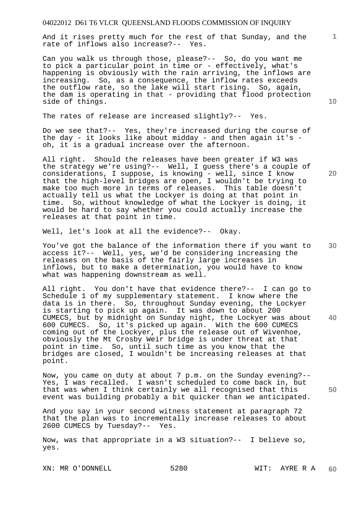And it rises pretty much for the rest of that Sunday, and the rate of inflows also increase?-- Yes.

Can you walk us through those, please?-- So, do you want me to pick a particular point in time or - effectively, what's happening is obviously with the rain arriving, the inflows are increasing. So, as a consequence, the inflow rates exceeds the outflow rate, so the lake will start rising. So, again, the dam is operating in that - providing that flood protection side of things.

The rates of release are increased slightly?-- Yes.

Do we see that?-- Yes, they're increased during the course of the day - it looks like about midday - and then again it's oh, it is a gradual increase over the afternoon.

All right. Should the releases have been greater if W3 was the strategy we're using?-- Well, I guess there's a couple of considerations, I suppose, is knowing - well, since I know that the high-level bridges are open, I wouldn't be trying to make too much more in terms of releases. This table doesn't actually tell us what the Lockyer is doing at that point in time. So, without knowledge of what the Lockyer is doing, it would be hard to say whether you could actually increase the releases at that point in time.

Well, let's look at all the evidence?-- Okay.

You've got the balance of the information there if you want to access it?-- Well, yes, we'd be considering increasing the releases on the basis of the fairly large increases in inflows, but to make a determination, you would have to know what was happening downstream as well.

All right. You don't have that evidence there?-- I can go to Schedule 1 of my supplementary statement. I know where the data is in there. So, throughout Sunday evening, the Lockyer is starting to pick up again. It was down to about 200 CUMECS, but by midnight on Sunday night, the Lockyer was about 600 CUMECS. So, it's picked up again. With the 600 CUMECS coming out of the Lockyer, plus the release out of Wivenhoe, obviously the Mt Crosby Weir bridge is under threat at that point in time. So, until such time as you know that the bridges are closed, I wouldn't be increasing releases at that point.

Now, you came on duty at about 7 p.m. on the Sunday evening?-- Yes, I was recalled. I wasn't scheduled to come back in, but that was when I think certainly we all recognised that this event was building probably a bit quicker than we anticipated.

And you say in your second witness statement at paragraph 72 that the plan was to incrementally increase releases to about 2600 CUMECS by Tuesday?-- Yes.

Now, was that appropriate in a W3 situation?-- I believe so, yes.

XN: MR O'DONNELL 5280 WIT: AYRE R A

**10** 

**20** 

**1**

**30** 

**50**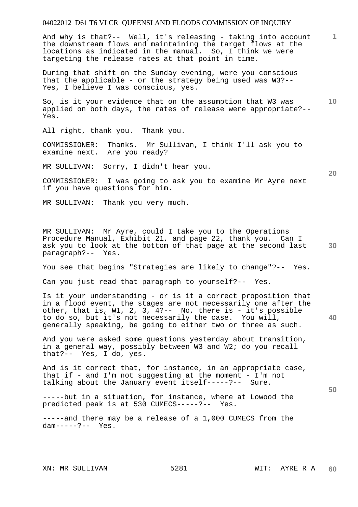**1** And why is that?-- Well, it's releasing - taking into account the downstream flows and maintaining the target flows at the locations as indicated in the manual. So, I think we were targeting the release rates at that point in time.

During that shift on the Sunday evening, were you conscious that the applicable - or the strategy being used was W3?-- Yes, I believe I was conscious, yes.

**10**  So, is it your evidence that on the assumption that W3 was applied on both days, the rates of release were appropriate?-- Yes.

All right, thank you. Thank you.

COMMISSIONER: Thanks. Mr Sullivan, I think I'll ask you to examine next. Are you ready?

MR SULLIVAN: Sorry, I didn't hear you.

COMMISSIONER: I was going to ask you to examine Mr Ayre next if you have questions for him.

MR SULLIVAN: Thank you very much.

MR SULLIVAN: Mr Ayre, could I take you to the Operations Procedure Manual, Exhibit 21, and page 22, thank you. Can I ask you to look at the bottom of that page at the second last paragraph?-- Yes.

You see that begins "Strategies are likely to change"?-- Yes.

Can you just read that paragraph to yourself?-- Yes.

Is it your understanding - or is it a correct proposition that in a flood event, the stages are not necessarily one after the other, that is, W1, 2, 3, 4?-- No, there is - it's possible to do so, but it's not necessarily the case. You will, generally speaking, be going to either two or three as such.

And you were asked some questions yesterday about transition, in a general way, possibly between W3 and W2; do you recall that?-- Yes, I do, yes.

And is it correct that, for instance, in an appropriate case, that if - and  $I'm$  not suggesting at the moment -  $I'm$  not talking about the January event itself-----?-- Sure.

-----but in a situation, for instance, where at Lowood the predicted peak is at 530 CUMECS-----?-- Yes.

-----and there may be a release of a 1,000 CUMECS from the dam-----?-- Yes.

**20** 

**40**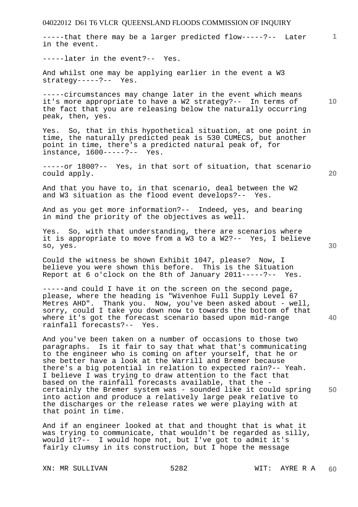04022012 D61 T6 VLCR QUEENSLAND FLOODS COMMISSION OF INQUIRY **1 10 20 30 40 50**  -----that there may be a larger predicted flow-----?-- Later in the event. -----later in the event?-- Yes. And whilst one may be applying earlier in the event a W3 strategy-----?-- Yes. -----circumstances may change later in the event which means it's more appropriate to have a W2 strategy?-- In terms of the fact that you are releasing below the naturally occurring peak, then, yes. Yes. So, that in this hypothetical situation, at one point in time, the naturally predicted peak is 530 CUMECS, but another point in time, there's a predicted natural peak of, for instance, 1600-----?-- Yes. -----or 1800?-- Yes, in that sort of situation, that scenario could apply. And that you have to, in that scenario, deal between the W2 and W3 situation as the flood event develops?-- Yes. And as you get more information?-- Indeed, yes, and bearing in mind the priority of the objectives as well. Yes. So, with that understanding, there are scenarios where it is appropriate to move from a W3 to a W2?-- Yes, I believe so, yes. Could the witness be shown Exhibit 1047, please? Now, I believe you were shown this before. This is the Situation Report at 6 o'clock on the 8th of January 2011-----?-- Yes. -----and could I have it on the screen on the second page, please, where the heading is "Wivenhoe Full Supply Level 67 Metres AHD". Thank you. Now, you've been asked about - well, sorry, could I take you down now to towards the bottom of that where it's got the forecast scenario based upon mid-range rainfall forecasts?-- Yes. And you've been taken on a number of occasions to those two paragraphs. Is it fair to say that what that's communicating to the engineer who is coming on after yourself, that he or she better have a look at the Warrill and Bremer because there's a big potential in relation to expected rain?-- Yeah. I believe I was trying to draw attention to the fact that based on the rainfall forecasts available, that the certainly the Bremer system was - sounded like it could spring into action and produce a relatively large peak relative to the discharges or the release rates we were playing with at that point in time. And if an engineer looked at that and thought that is what it

was trying to communicate, that wouldn't be regarded as silly, would it?-- I would hope not, but I've got to admit it's fairly clumsy in its construction, but I hope the message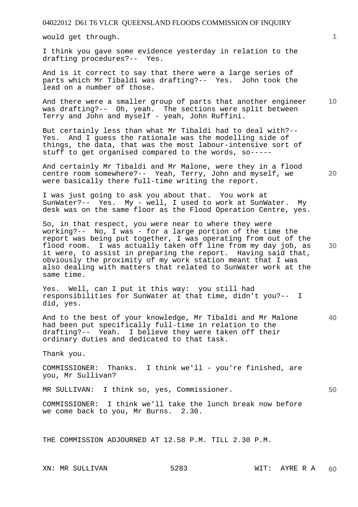would get through.

I think you gave some evidence yesterday in relation to the drafting procedures?-- Yes.

And is it correct to say that there were a large series of parts which Mr Tibaldi was drafting?-- Yes. John took the lead on a number of those.

**10**  And there were a smaller group of parts that another engineer was drafting?-- Oh, yeah. The sections were split between Terry and John and myself - yeah, John Ruffini.

But certainly less than what Mr Tibaldi had to deal with?-- Yes. And I guess the rationale was the modelling side of things, the data, that was the most labour-intensive sort of stuff to get organised compared to the words, so-----

And certainly Mr Tibaldi and Mr Malone, were they in a flood centre room somewhere?-- Yeah, Terry, John and myself, we were basically there full-time writing the report.

I was just going to ask you about that. You work at SunWater?-- Yes. My - well, I used to work at SunWater. My desk was on the same floor as the Flood Operation Centre, yes.

So, in that respect, you were near to where they were working?-- No, I was - for a large portion of the time the report was being put together, I was operating from out of the flood room. I was actually taken off line from my day job, as it were, to assist in preparing the report. Having said that, obviously the proximity of my work station meant that I was also dealing with matters that related to SunWater work at the same time.

Yes. Well, can I put it this way: you still had responsibilities for SunWater at that time, didn't you?-- I did, yes.

**40**  And to the best of your knowledge, Mr Tibaldi and Mr Malone had been put specifically full-time in relation to the drafting?-- Yeah. I believe they were taken off their ordinary duties and dedicated to that task.

Thank you.

COMMISSIONER: Thanks. I think we'll - you're finished, are you, Mr Sullivan?

MR SULLIVAN: I think so, yes, Commissioner.

COMMISSIONER: I think we'll take the lunch break now before we come back to you, Mr Burns. 2.30.

THE COMMISSION ADJOURNED AT 12.58 P.M. TILL 2.30 P.M.

**1**

**20** 

**30**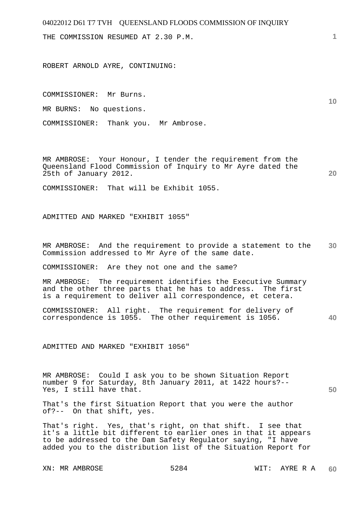THE COMMISSION RESUMED AT 2.30 P.M.

ROBERT ARNOLD AYRE, CONTINUING:

COMMISSIONER: Mr Burns.

MR BURNS: No questions.

COMMISSIONER: Thank you. Mr Ambrose.

MR AMBROSE: Your Honour, I tender the requirement from the Queensland Flood Commission of Inquiry to Mr Ayre dated the 25th of January 2012.

**20** 

**50** 

**1**

**10** 

COMMISSIONER: That will be Exhibit 1055.

ADMITTED AND MARKED "EXHIBIT 1055"

**30**  MR AMBROSE: And the requirement to provide a statement to the Commission addressed to Mr Ayre of the same date.

COMMISSIONER: Are they not one and the same?

MR AMBROSE: The requirement identifies the Executive Summary and the other three parts that he has to address. The first is a requirement to deliver all correspondence, et cetera.

```
40 
COMMISSIONER: All right. The requirement for delivery of 
correspondence is 1055. The other requirement is 1056.
```
ADMITTED AND MARKED "EXHIBIT 1056"

MR AMBROSE: Could I ask you to be shown Situation Report number 9 for Saturday, 8th January 2011, at 1422 hours?-- Yes, I still have that.

That's the first Situation Report that you were the author of?-- On that shift, yes.

That's right. Yes, that's right, on that shift. I see that it's a little bit different to earlier ones in that it appears to be addressed to the Dam Safety Regulator saying, "I have added you to the distribution list of the Situation Report for

XN: MR AMBROSE 5284 WIT: AYRE R A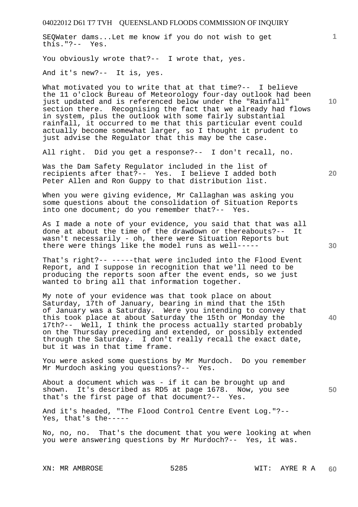SEQWater dams...Let me know if you do not wish to get this."?-- Yes.

You obviously wrote that?-- I wrote that, yes.

And it's new?-- It is, yes.

What motivated you to write that at that time?-- I believe the 11 o'clock Bureau of Meteorology four-day outlook had been just updated and is referenced below under the "Rainfall" section there. Recognising the fact that we already had flows in system, plus the outlook with some fairly substantial rainfall, it occurred to me that this particular event could actually become somewhat larger, so I thought it prudent to just advise the Regulator that this may be the case.

All right. Did you get a response?-- I don't recall, no.

Was the Dam Safety Regulator included in the list of recipients after that?-- Yes. I believe I added both Peter Allen and Ron Guppy to that distribution list.

When you were giving evidence, Mr Callaghan was asking you some questions about the consolidation of Situation Reports into one document; do you remember that?-- Yes.

As I made a note of your evidence, you said that that was all done at about the time of the drawdown or thereabouts?-- It wasn't necessarily - oh, there were Situation Reports but there were things like the model runs as well-----

That's right?-- -----that were included into the Flood Event Report, and I suppose in recognition that we'll need to be producing the reports soon after the event ends, so we just wanted to bring all that information together.

My note of your evidence was that took place on about Saturday, 17th of January, bearing in mind that the 15th of January was a Saturday. Were you intending to convey that this took place at about Saturday the 15th or Monday the 17th?-- Well, I think the process actually started probably on the Thursday preceding and extended, or possibly extended through the Saturday. I don't really recall the exact date, but it was in that time frame.

You were asked some questions by Mr Murdoch. Do you remember Mr Murdoch asking you questions?-- Yes.

About a document which was - if it can be brought up and shown. It's described as RD5 at page 1678. Now, you see that's the first page of that document?-- Yes.

And it's headed, "The Flood Control Centre Event Log."?-- Yes, that's the-----

No, no, no. That's the document that you were looking at when you were answering questions by Mr Murdoch?-- Yes, it was.

**10** 

**1**

**30** 

**20**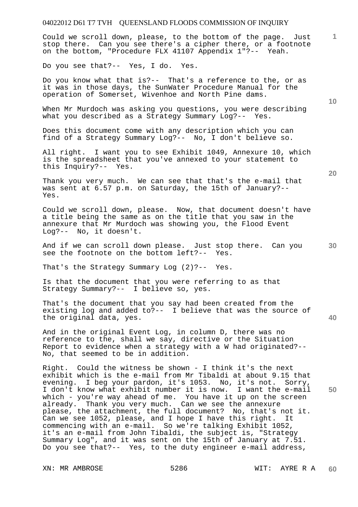Could we scroll down, please, to the bottom of the page. Just stop there. Can you see there's a cipher there, or a footnote on the bottom, "Procedure FLX 41107 Appendix 1"?-- Yeah.

Do you see that?-- Yes, I do. Yes.

Do you know what that is?-- That's a reference to the, or as it was in those days, the SunWater Procedure Manual for the operation of Somerset, Wivenhoe and North Pine dams.

When Mr Murdoch was asking you questions, you were describing what you described as a Strategy Summary Log?-- Yes.

Does this document come with any description which you can find of a Strategy Summary Log?-- No, I don't believe so.

All right. I want you to see Exhibit 1049, Annexure 10, which is the spreadsheet that you've annexed to your statement to this Inquiry?-- Yes.

Thank you very much. We can see that that's the e-mail that was sent at 6.57 p.m. on Saturday, the 15th of January?-- Yes.

Could we scroll down, please. Now, that document doesn't have a title being the same as on the title that you saw in the annexure that Mr Murdoch was showing you, the Flood Event Log?-- No, it doesn't.

And if we can scroll down please. Just stop there. Can you see the footnote on the bottom left?-- Yes.

That's the Strategy Summary Log (2)?-- Yes.

Is that the document that you were referring to as that Strategy Summary?-- I believe so, yes.

That's the document that you say had been created from the existing log and added to?-- I believe that was the source of the original data, yes.

And in the original Event Log, in column D, there was no reference to the, shall we say, directive or the Situation Report to evidence when a strategy with a W had originated?-- No, that seemed to be in addition.

Right. Could the witness be shown - I think it's the next exhibit which is the e-mail from Mr Tibaldi at about 9.15 that evening. I beg your pardon, it's 1053. No, it's not. Sorry, I don't know what exhibit number it is now. I want the e-mail which - you're way ahead of me. You have it up on the screen already. Thank you very much. Can we see the annexure please, the attachment, the full document? No, that's not it. Can we see 1052, please, and I hope I have this right. It commencing with an e-mail. So we're talking Exhibit 1052, it's an e-mail from John Tibaldi, the subject is, "Strategy Summary Log", and it was sent on the 15th of January at 7.51. Do you see that?-- Yes, to the duty engineer e-mail address,

XN: MR AMBROSE 5286 WIT: AYRE R A

**10** 

**1**

**20** 

**40** 

**50**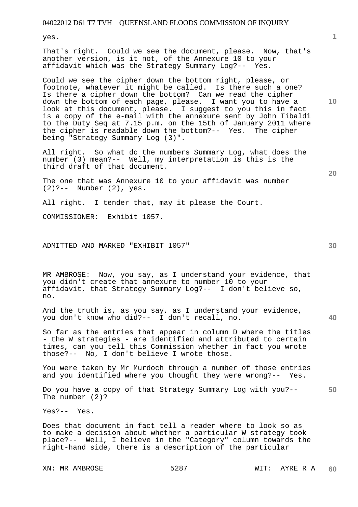yes.

That's right. Could we see the document, please. Now, that's another version, is it not, of the Annexure 10 to your affidavit which was the Strategy Summary Log?-- Yes.

Could we see the cipher down the bottom right, please, or footnote, whatever it might be called. Is there such a one? Is there a cipher down the bottom? Can we read the cipher down the bottom of each page, please. I want you to have a look at this document, please. I suggest to you this in fact is a copy of the e-mail with the annexure sent by John Tibaldi to the Duty Seq at 7.15 p.m. on the 15th of January 2011 where the cipher is readable down the bottom?-- Yes. The cipher being "Strategy Summary Log (3)".

All right. So what do the numbers Summary Log, what does the number (3) mean?-- Well, my interpretation is this is the third draft of that document.

The one that was Annexure 10 to your affidavit was number (2)?-- Number (2), yes.

All right. I tender that, may it please the Court.

COMMISSIONER: Exhibit 1057.

ADMITTED AND MARKED "EXHIBIT 1057"

MR AMBROSE: Now, you say, as I understand your evidence, that you didn't create that annexure to number 10 to your affidavit, that Strategy Summary Log?-- I don't believe so, no.

And the truth is, as you say, as I understand your evidence, you don't know who did?-- I don't recall, no.

So far as the entries that appear in column D where the titles - the W strategies - are identified and attributed to certain times, can you tell this Commission whether in fact you wrote those?-- No, I don't believe I wrote those.

You were taken by Mr Murdoch through a number of those entries and you identified where you thought they were wrong?-- Yes.

**50**  Do you have a copy of that Strategy Summary Log with you?-- The number (2)?

Yes?-- Yes.

Does that document in fact tell a reader where to look so as to make a decision about whether a particular W strategy took place?-- Well, I believe in the "Category" column towards the right-hand side, there is a description of the particular

XN: MR AMBROSE 5287 WIT: AYRE R A

**10** 

**30** 

**40**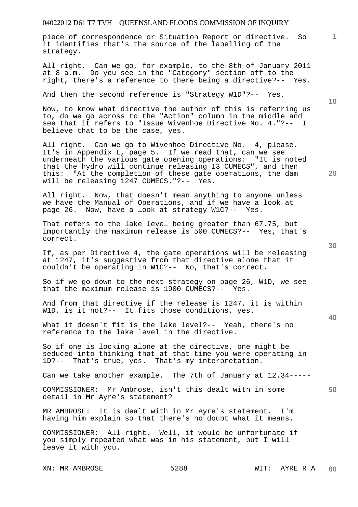piece of correspondence or Situation Report or directive. So it identifies that's the source of the labelling of the strategy.

All right. Can we go, for example, to the 8th of January 2011 at 8 a.m. Do you see in the "Category" section off to the right, there's a reference to there being a directive?-- Yes.

And then the second reference is "Strategy W1D"?-- Yes.

Now, to know what directive the author of this is referring us to, do we go across to the "Action" column in the middle and see that it refers to "Issue Wivenhoe Directive No. 4."?-- I believe that to be the case, yes.

All right. Can we go to Wivenhoe Directive No. 4, please. It's in Appendix L, page 5. If we read that, can we see underneath the various gate opening operations: "It is noted that the hydro will continue releasing 13 CUMECS", and then this: "At the completion of these gate operations, the dam will be releasing 1247 CUMECS."?-- Yes.

All right. Now, that doesn't mean anything to anyone unless we have the Manual of Operations, and if we have a look at page 26. Now, have a look at strategy W1C?-- Yes.

That refers to the lake level being greater than 67.75, but importantly the maximum release is 500 CUMECS?-- Yes, that's correct.

If, as per Directive 4, the gate operations will be releasing at 1247, it's suggestive from that directive alone that it couldn't be operating in W1C?-- No, that's correct.

So if we go down to the next strategy on page 26, W1D, we see that the maximum release is 1900 CUMECS?-- Yes.

And from that directive if the release is 1247, it is within W1D, is it not?-- It fits those conditions, yes.

What it doesn't fit is the lake level?-- Yeah, there's no reference to the lake level in the directive.

So if one is looking alone at the directive, one might be seduced into thinking that at that time you were operating in 1D?-- That's true, yes. That's my interpretation.

Can we take another example. The 7th of January at 12.34-----

COMMISSIONER: Mr Ambrose, isn't this dealt with in some detail in Mr Ayre's statement?

MR AMBROSE: It is dealt with in Mr Ayre's statement. I'm having him explain so that there's no doubt what it means.

COMMISSIONER: All right. Well, it would be unfortunate if you simply repeated what was in his statement, but I will leave it with you.

XN: MR AMBROSE 5288 WIT: AYRE R A **60** 

**30** 

**20** 

**40** 

**50** 

**10**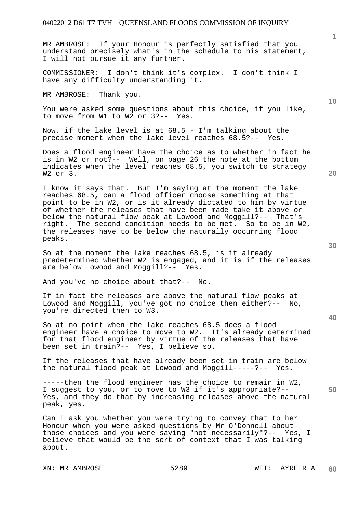MR AMBROSE: If your Honour is perfectly satisfied that you understand precisely what's in the schedule to his statement, I will not pursue it any further.

COMMISSIONER: I don't think it's complex. I don't think I have any difficulty understanding it.

MR AMBROSE: Thank you.

You were asked some questions about this choice, if you like, to move from W1 to W2 or 3?-- Yes.

Now, if the lake level is at 68.5 - I'm talking about the precise moment when the lake level reaches 68.5?-- Yes.

Does a flood engineer have the choice as to whether in fact he is in W2 or not?-- Well, on page 26 the note at the bottom indicates when the level reaches 68.5, you switch to strategy W2 or 3.

I know it says that. But I'm saying at the moment the lake reaches 68.5, can a flood officer choose something at that point to be in W2, or is it already dictated to him by virtue of whether the releases that have been made take it above or below the natural flow peak at Lowood and Moggill?-- That's right. The second condition needs to be met. So to be in W2, the releases have to be below the naturally occurring flood peaks.

So at the moment the lake reaches 68.5, is it already predetermined whether W2 is engaged, and it is if the releases are below Lowood and Moggill?-- Yes.

And you've no choice about that?-- No.

If in fact the releases are above the natural flow peaks at Lowood and Moggill, you've got no choice then either?-- No, you're directed then to W3.

So at no point when the lake reaches 68.5 does a flood engineer have a choice to move to W2. It's already determined for that flood engineer by virtue of the releases that have been set in train?-- Yes, I believe so.

If the releases that have already been set in train are below the natural flood peak at Lowood and Moggill-----?-- Yes.

-----then the flood engineer has the choice to remain in W2, I suggest to you, or to move to W3 if it's appropriate?-- Yes, and they do that by increasing releases above the natural peak, yes.

Can I ask you whether you were trying to convey that to her Honour when you were asked questions by Mr O'Donnell about those choices and you were saying "not necessarily"?-- Yes, I believe that would be the sort of context that I was talking about.

**10** 

**1**

**40**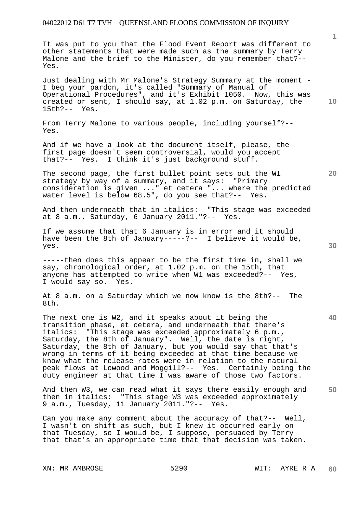It was put to you that the Flood Event Report was different to other statements that were made such as the summary by Terry Malone and the brief to the Minister, do you remember that?-- Yes.

Just dealing with Mr Malone's Strategy Summary at the moment - I beg your pardon, it's called "Summary of Manual of Operational Procedures", and it's Exhibit 1050. Now, this was created or sent, I should say, at 1.02 p.m. on Saturday, the 15th?-- Yes.

From Terry Malone to various people, including yourself?-- Yes.

And if we have a look at the document itself, please, the first page doesn't seem controversial, would you accept that?-- Yes. I think it's just background stuff.

The second page, the first bullet point sets out the W1 strategy by way of a summary, and it says: "Primary consideration is given ..." et cetera "... where the predicted water level is below 68.5", do you see that?-- Yes.

And then underneath that in italics: "This stage was exceeded at 8 a.m., Saturday, 6 January 2011."?-- Yes.

If we assume that that 6 January is in error and it should have been the 8th of January-----?-- I believe it would be, yes.

-----then does this appear to be the first time in, shall we say, chronological order, at 1.02 p.m. on the 15th, that anyone has attempted to write when W1 was exceeded?-- Yes, I would say so. Yes.

At 8 a.m. on a Saturday which we now know is the 8th?-- The 8th.

The next one is W2, and it speaks about it being the transition phase, et cetera, and underneath that there's italics: "This stage was exceeded approximately 6 p.m., Saturday, the 8th of January". Well, the date is right, Saturday, the 8th of January, but you would say that that's wrong in terms of it being exceeded at that time because we know what the release rates were in relation to the natural peak flows at Lowood and Moggill?-- Yes. Certainly being the duty engineer at that time I was aware of those two factors.

**50**  And then W3, we can read what it says there easily enough and then in italics: "This stage W3 was exceeded approximately 9 a.m., Tuesday, 11 January 2011."?-- Yes.

Can you make any comment about the accuracy of that?-- Well, I wasn't on shift as such, but I knew it occurred early on that Tuesday, so I would be, I suppose, persuaded by Terry that that's an appropriate time that that decision was taken.

XN: MR AMBROSE 5290 WIT: AYRE R A

**10** 

**1**

**30** 

**20**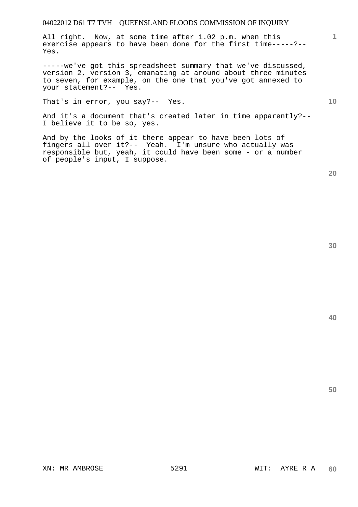All right. Now, at some time after 1.02 p.m. when this exercise appears to have been done for the first time-----?-- Yes.

-----we've got this spreadsheet summary that we've discussed, version 2, version 3, emanating at around about three minutes to seven, for example, on the one that you've got annexed to your statement?-- Yes.

That's in error, you say?-- Yes.

And it's a document that's created later in time apparently?-- I believe it to be so, yes.

And by the looks of it there appear to have been lots of fingers all over it?-- Yeah. I'm unsure who actually was responsible but, yeah, it could have been some - or a number of people's input, I suppose.

**20** 

**40** 

**50** 

**1**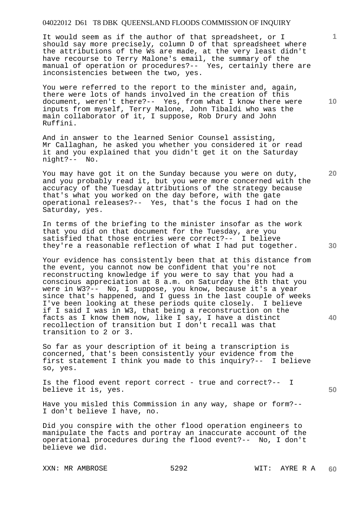It would seem as if the author of that spreadsheet, or I should say more precisely, column D of that spreadsheet where the attributions of the Ws are made, at the very least didn't have recourse to Terry Malone's email, the summary of the manual of operation or procedures?-- Yes, certainly there are inconsistencies between the two, yes.

You were referred to the report to the minister and, again, there were lots of hands involved in the creation of this document, weren't there?-- Yes, from what I know there were inputs from myself, Terry Malone, John Tibaldi who was the main collaborator of it, I suppose, Rob Drury and John Ruffini.

And in answer to the learned Senior Counsel assisting, Mr Callaghan, he asked you whether you considered it or read it and you explained that you didn't get it on the Saturday night?-- No.

You may have got it on the Sunday because you were on duty, and you probably read it, but you were more concerned with the accuracy of the Tuesday attributions of the strategy because that's what you worked on the day before, with the gate operational releases?-- Yes, that's the focus I had on the Saturday, yes.

In terms of the briefing to the minister insofar as the work that you did on that document for the Tuesday, are you satisfied that those entries were correct?-- I believe they're a reasonable reflection of what I had put together.

Your evidence has consistently been that at this distance from the event, you cannot now be confident that you're not reconstructing knowledge if you were to say that you had a conscious appreciation at 8 a.m. on Saturday the 8th that you were in W3?-- No, I suppose, you know, because it's a year since that's happened, and I guess in the last couple of weeks I've been looking at these periods quite closely. I believe if I said I was in W3, that being a reconstruction on the facts as I know them now, like I say, I have a distinct recollection of transition but I don't recall was that transition to 2 or 3.

So far as your description of it being a transcription is concerned, that's been consistently your evidence from the first statement I think you made to this inquiry?-- I believe so, yes.

Is the flood event report correct - true and correct?-- I believe it is, yes.

Have you misled this Commission in any way, shape or form?-- I don't believe I have, no.

Did you conspire with the other flood operation engineers to manipulate the facts and portray an inaccurate account of the operational procedures during the flood event?-- No, I don't believe we did.

XXN: MR AMBROSE 5292 WIT: AYRE R A

**10** 

**1**

**20** 

**30** 

**40**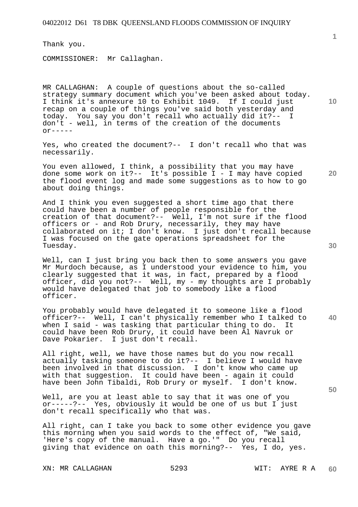Thank you.

COMMISSIONER: Mr Callaghan.

MR CALLAGHAN: A couple of questions about the so-called strategy summary document which you've been asked about today. I think it's annexure 10 to Exhibit 1049. If I could just recap on a couple of things you've said both yesterday and today. You say you don't recall who actually did it?-- I don't - well, in terms of the creation of the documents  $\alpha$ r-----

Yes, who created the document?-- I don't recall who that was necessarily.

You even allowed, I think, a possibility that you may have done some work on it?-- It's possible I - I may have copied the flood event log and made some suggestions as to how to go about doing things.

And I think you even suggested a short time ago that there could have been a number of people responsible for the creation of that document?-- Well, I'm not sure if the flood officers or - and Rob Drury, necessarily, they may have collaborated on it; I don't know. I just don't recall because I was focused on the gate operations spreadsheet for the Tuesday.

Well, can I just bring you back then to some answers you gave Mr Murdoch because, as I understood your evidence to him, you clearly suggested that it was, in fact, prepared by a flood officer, did you not?-- Well, my - my thoughts are I probably would have delegated that job to somebody like a flood officer.

You probably would have delegated it to someone like a flood officer?-- Well, I can't physically remember who I talked to when I said - was tasking that particular thing to do. It could have been Rob Drury, it could have been Al Navruk or Dave Pokarier. I just don't recall.

All right, well, we have those names but do you now recall actually tasking someone to do it?-- I believe I would have been involved in that discussion. I don't know who came up with that suggestion. It could have been - again it could have been John Tibaldi, Rob Drury or myself. I don't know.

Well, are you at least able to say that it was one of you or-----?-- Yes, obviously it would be one of us but I just don't recall specifically who that was.

All right, can I take you back to some other evidence you gave this morning when you said words to the effect of, "We said, 'Here's copy of the manual. Have a go.'" Do you recall giving that evidence on oath this morning?-- Yes, I do, yes.

XN: MR CALLAGHAN 5293 WIT: AYRE R A

**1**

**20** 

**40**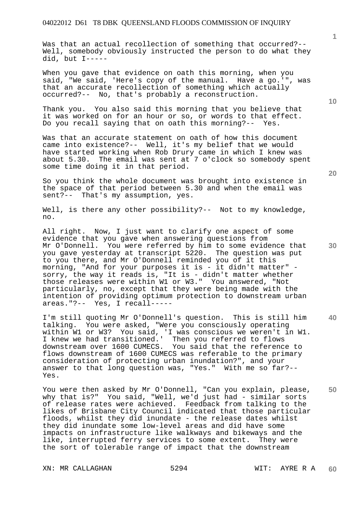Was that an actual recollection of something that occurred?--Well, somebody obviously instructed the person to do what they did, but I-----

When you gave that evidence on oath this morning, when you said, "We said, 'Here's copy of the manual. Have a go.'", was that an accurate recollection of something which actually occurred?-- No, that's probably a reconstruction.

Thank you. You also said this morning that you believe that it was worked on for an hour or so, or words to that effect. Do you recall saying that on oath this morning?-- Yes.

Was that an accurate statement on oath of how this document came into existence?-- Well, it's my belief that we would have started working when Rob Drury came in which I knew was about 5.30. The email was sent at 7 o'clock so somebody spent some time doing it in that period.

So you think the whole document was brought into existence in the space of that period between 5.30 and when the email was sent?-- That's my assumption, yes.

Well, is there any other possibility?-- Not to my knowledge, no.

All right. Now, I just want to clarify one aspect of some evidence that you gave when answering questions from Mr O'Donnell. You were referred by him to some evidence that you gave yesterday at transcript 5220. The question was put to you there, and Mr O'Donnell reminded you of it this morning, "And for your purposes it is - it didn't matter" sorry, the way it reads is, "It is - didn't matter whether those releases were within W1 or W3." You answered, "Not particularly, no, except that they were being made with the intention of providing optimum protection to downstream urban areas."?-- Yes, I recall-----

I'm still quoting Mr O'Donnell's question. This is still him talking. You were asked, "Were you consciously operating within W1 or W3? You said, 'I was conscious we weren't in W1. I knew we had transitioned.' Then you referred to flows downstream over 1600 CUMECS. You said that the reference to flows downstream of 1600 CUMECS was referable to the primary consideration of protecting urban inundation?", and your answer to that long question was, "Yes." With me so far ?--Yes.

You were then asked by Mr O'Donnell, "Can you explain, please, why that is?" You said, "Well, we'd just had - similar sorts of release rates were achieved. Feedback from talking to the likes of Brisbane City Council indicated that those particular floods, whilst they did inundate - the release dates whilst they did inundate some low-level areas and did have some impacts on infrastructure like walkways and bikeways and the like, interrupted ferry services to some extent. They were the sort of tolerable range of impact that the downstream

XN: MR CALLAGHAN 5294 WIT: AYRE R A

**20** 

**10** 

**1**

**40**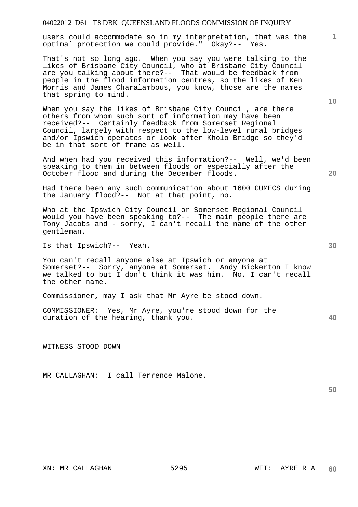users could accommodate so in my interpretation, that was the optimal protection we could provide." Okay?-- Yes.

That's not so long ago. When you say you were talking to the likes of Brisbane City Council, who at Brisbane City Council are you talking about there?-- That would be feedback from people in the flood information centres, so the likes of Ken Morris and James Charalambous, you know, those are the names that spring to mind.

When you say the likes of Brisbane City Council, are there others from whom such sort of information may have been received?-- Certainly feedback from Somerset Regional Council, largely with respect to the low-level rural bridges and/or Ipswich operates or look after Kholo Bridge so they'd be in that sort of frame as well.

And when had you received this information?-- Well, we'd been speaking to them in between floods or especially after the October flood and during the December floods.

Had there been any such communication about 1600 CUMECS during the January flood?-- Not at that point, no.

Who at the Ipswich City Council or Somerset Regional Council would you have been speaking to?-- The main people there are Tony Jacobs and - sorry, I can't recall the name of the other gentleman.

Is that Ipswich?-- Yeah.

You can't recall anyone else at Ipswich or anyone at Somerset?-- Sorry, anyone at Somerset. Andy Bickerton I know we talked to but I don't think it was him. No, I can't recall the other name.

Commissioner, may I ask that Mr Ayre be stood down.

COMMISSIONER: Yes, Mr Ayre, you're stood down for the duration of the hearing, thank you.

WITNESS STOOD DOWN

MR CALLAGHAN: I call Terrence Malone.

**50** 

**20** 

**30** 

**40** 

**10**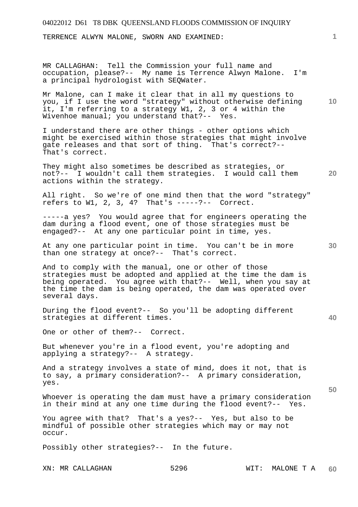TERRENCE ALWYN MALONE, SWORN AND EXAMINED:

MR CALLAGHAN: Tell the Commission your full name and occupation, please?-- My name is Terrence Alwyn Malone. I'm a principal hydrologist with SEQWater.

Mr Malone, can I make it clear that in all my questions to you, if I use the word "strategy" without otherwise defining it, I'm referring to a strategy W1, 2, 3 or 4 within the Wivenhoe manual; you understand that?-- Yes.

I understand there are other things - other options which might be exercised within those strategies that might involve gate releases and that sort of thing. That's correct?-- That's correct.

They might also sometimes be described as strategies, or not?-- I wouldn't call them strategies. I would call them actions within the strategy.

All right. So we're of one mind then that the word "strategy" refers to  $W1$ ,  $2$ ,  $3$ ,  $4$ ? That's -----?-- Correct.

-----a yes? You would agree that for engineers operating the dam during a flood event, one of those strategies must be engaged?-- At any one particular point in time, yes.

At any one particular point in time. You can't be in more than one strategy at once?-- That's correct.

And to comply with the manual, one or other of those strategies must be adopted and applied at the time the dam is being operated. You agree with that?-- Well, when you say at the time the dam is being operated, the dam was operated over several days.

During the flood event?-- So you'll be adopting different strategies at different times.

One or other of them?-- Correct.

But whenever you're in a flood event, you're adopting and applying a strategy?-- A strategy.

And a strategy involves a state of mind, does it not, that is to say, a primary consideration?-- A primary consideration, yes.

Whoever is operating the dam must have a primary consideration in their mind at any one time during the flood event?-- Yes.

You agree with that? That's a yes?-- Yes, but also to be mindful of possible other strategies which may or may not occur.

Possibly other strategies?-- In the future.

**1**

**10** 

**30** 

**20** 

**40**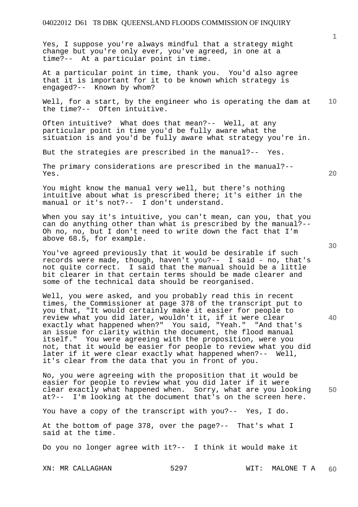Yes, I suppose you're always mindful that a strategy might change but you're only ever, you've agreed, in one at a time?-- At a particular point in time.

At a particular point in time, thank you. You'd also agree that it is important for it to be known which strategy is engaged?-- Known by whom?

**10**  Well, for a start, by the engineer who is operating the dam at the time?-- Often intuitive.

Often intuitive? What does that mean?-- Well, at any particular point in time you'd be fully aware what the situation is and you'd be fully aware what strategy you're in.

But the strategies are prescribed in the manual?-- Yes.

The primary considerations are prescribed in the manual?-- Yes.

You might know the manual very well, but there's nothing intuitive about what is prescribed there; it's either in the manual or it's not?-- I don't understand.

When you say it's intuitive, you can't mean, can you, that you can do anything other than what is prescribed by the manual?-- Oh no, no, but I don't need to write down the fact that I'm above 68.5, for example.

You've agreed previously that it would be desirable if such records were made, though, haven't you?-- I said - no, that's not quite correct. I said that the manual should be a little bit clearer in that certain terms should be made clearer and some of the technical data should be reorganised.

Well, you were asked, and you probably read this in recent times, the Commissioner at page 378 of the transcript put to you that, "It would certainly make it easier for people to review what you did later, wouldn't it, if it were clear exactly what happened when?" You said, "Yeah." "And that's an issue for clarity within the document, the flood manual itself." You were agreeing with the proposition, were you not, that it would be easier for people to review what you did later if it were clear exactly what happened when?-- Well, it's clear from the data that you in front of you.

**50**  No, you were agreeing with the proposition that it would be easier for people to review what you did later if it were clear exactly what happened when. Sorry, what are you looking at?-- I'm looking at the document that's on the screen here.

You have a copy of the transcript with you?-- Yes, I do.

At the bottom of page 378, over the page?-- That's what I said at the time.

Do you no longer agree with it?-- I think it would make it

**20** 

**30**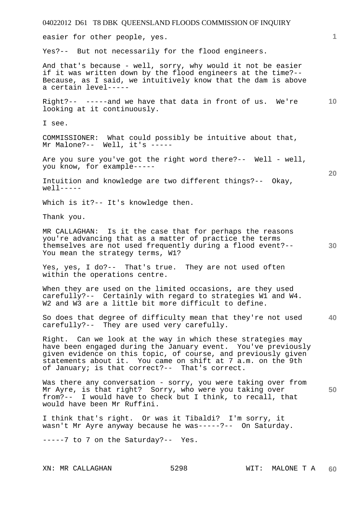easier for other people, yes.

Yes?-- But not necessarily for the flood engineers.

And that's because - well, sorry, why would it not be easier if it was written down by the flood engineers at the time?-- Because, as I said, we intuitively know that the dam is above a certain level-----

**10**  Right?-- -----and we have that data in front of us. We're looking at it continuously.

I see.

COMMISSIONER: What could possibly be intuitive about that, Mr Malone?-- Well, it's -----

Are you sure you've got the right word there?-- Well - well, you know, for example-----

Intuition and knowledge are two different things?-- Okay,  $well-----$ 

Which is it?-- It's knowledge then.

Thank you.

MR CALLAGHAN: Is it the case that for perhaps the reasons you're advancing that as a matter of practice the terms themselves are not used frequently during a flood event?-- You mean the strategy terms, W1?

Yes, yes, I do?-- That's true. They are not used often within the operations centre.

When they are used on the limited occasions, are they used carefully?-- Certainly with regard to strategies W1 and W4. W2 and W3 are a little bit more difficult to define.

**40**  So does that degree of difficulty mean that they're not used carefully?-- They are used very carefully.

Right. Can we look at the way in which these strategies may have been engaged during the January event. You've previously given evidence on this topic, of course, and previously given statements about it. You came on shift at 7 a.m. on the 9th of January; is that correct?-- That's correct.

**50**  Was there any conversation - sorry, you were taking over from Mr Ayre, is that right? Sorry, who were you taking over from?-- I would have to check but I think, to recall, that would have been Mr Ruffini.

I think that's right. Or was it Tibaldi? I'm sorry, it wasn't Mr Ayre anyway because he was-----?-- On Saturday.

-----7 to 7 on the Saturday?-- Yes.

**20**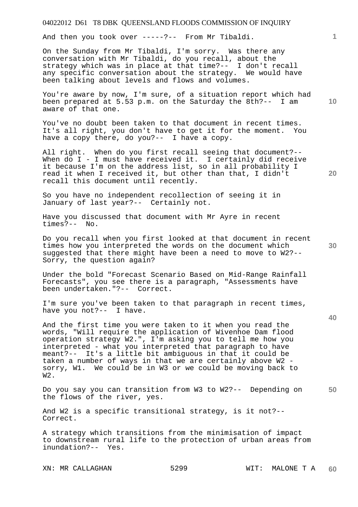And then you took over -----?-- From Mr Tibaldi.

On the Sunday from Mr Tibaldi, I'm sorry. Was there any conversation with Mr Tibaldi, do you recall, about the strategy which was in place at that time?-- I don't recall any specific conversation about the strategy. We would have been talking about levels and flows and volumes.

You're aware by now, I'm sure, of a situation report which had been prepared at 5.53 p.m. on the Saturday the 8th?-- I am aware of that one.

You've no doubt been taken to that document in recent times. It's all right, you don't have to get it for the moment. You have a copy there, do you?-- I have a copy.

All right. When do you first recall seeing that document?-- When do I - I must have received it. I certainly did receive it because I'm on the address list, so in all probability I read it when I received it, but other than that, I didn't recall this document until recently.

So you have no independent recollection of seeing it in January of last year?-- Certainly not.

Have you discussed that document with Mr Ayre in recent times?-- No.

Do you recall when you first looked at that document in recent times how you interpreted the words on the document which suggested that there might have been a need to move to W2?-- Sorry, the question again?

Under the bold "Forecast Scenario Based on Mid-Range Rainfall Forecasts", you see there is a paragraph, "Assessments have been undertaken."?-- Correct.

I'm sure you've been taken to that paragraph in recent times, have you not?-- I have.

And the first time you were taken to it when you read the words, "Will require the application of Wivenhoe Dam flood operation strategy W2.", I'm asking you to tell me how you interpreted - what you interpreted that paragraph to have meant?-- It's a little bit ambiguous in that it could be taken a number of ways in that we are certainly above W2 sorry, W1. We could be in W3 or we could be moving back to W2.

**50**  Do you say you can transition from W3 to W2?-- Depending on the flows of the river, yes.

And W2 is a specific transitional strategy, is it not?-- Correct.

A strategy which transitions from the minimisation of impact to downstream rural life to the protection of urban areas from inundation?-- Yes.

XN: MR CALLAGHAN 5299 WIT: MALONE T A

**10** 

**1**

**20**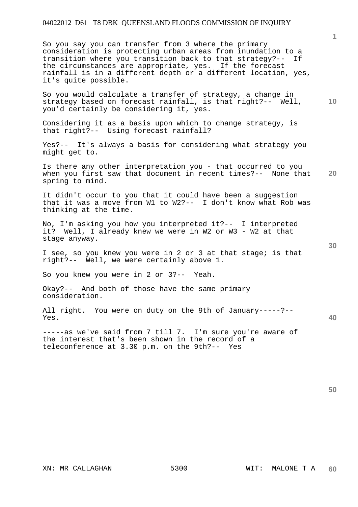So you say you can transfer from 3 where the primary consideration is protecting urban areas from inundation to a transition where you transition back to that strategy?-- If the circumstances are appropriate, yes. If the forecast rainfall is in a different depth or a different location, yes, it's quite possible.

**10**  So you would calculate a transfer of strategy, a change in strategy based on forecast rainfall, is that right?-- Well, you'd certainly be considering it, yes.

Considering it as a basis upon which to change strategy, is that right?-- Using forecast rainfall?

Yes?-- It's always a basis for considering what strategy you might get to.

**20**  Is there any other interpretation you - that occurred to you when you first saw that document in recent times?-- None that spring to mind.

It didn't occur to you that it could have been a suggestion that it was a move from W1 to W2?-- I don't know what Rob was thinking at the time.

No, I'm asking you how you interpreted it?-- I interpreted it? Well, I already knew we were in W2 or W3 - W2 at that stage anyway.

I see, so you knew you were in 2 or 3 at that stage; is that right?-- Well, we were certainly above 1.

So you knew you were in 2 or 3?-- Yeah.

Okay?-- And both of those have the same primary consideration.

All right. You were on duty on the 9th of January-----?-- Yes.

-----as we've said from 7 till 7. I'm sure you're aware of the interest that's been shown in the record of a teleconference at 3.30 p.m. on the 9th?-- Yes

**30**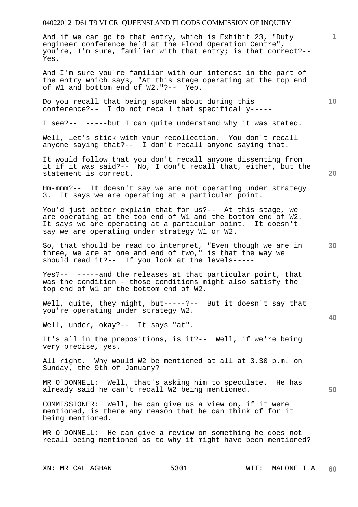And if we can go to that entry, which is Exhibit 23, "Duty engineer conference held at the Flood Operation Centre", you're, I'm sure, familiar with that entry; is that correct?-- Yes.

And I'm sure you're familiar with our interest in the part of the entry which says, "At this stage operating at the top end of W1 and bottom end of W2."?-- Yep.

Do you recall that being spoken about during this conference?-- I do not recall that specifically-----

I see?-- -----but I can quite understand why it was stated.

Well, let's stick with your recollection. You don't recall anyone saying that?-- I don't recall anyone saying that.

It would follow that you don't recall anyone dissenting from it if it was said?-- No, I don't recall that, either, but the statement is correct.

Hm-mmm?-- It doesn't say we are not operating under strategy 3. It says we are operating at a particular point.

You'd just better explain that for us?-- At this stage, we are operating at the top end of W1 and the bottom end of W2. It says we are operating at a particular point. It doesn't say we are operating under strategy W1 or W2.

So, that should be read to interpret, "Even though we are in three, we are at one and end of two," is that the way we should read it?-- If you look at the levels-----

Yes?-- -----and the releases at that particular point, that was the condition - those conditions might also satisfy the top end of W1 or the bottom end of W2.

Well, quite, they might, but-----?-- But it doesn't say that you're operating under strategy W2.

Well, under, okay?-- It says "at".

It's all in the prepositions, is it?-- Well, if we're being very precise, yes.

All right. Why would W2 be mentioned at all at 3.30 p.m. on Sunday, the 9th of January?

MR O'DONNELL: Well, that's asking him to speculate. He has already said he can't recall W2 being mentioned.

COMMISSIONER: Well, he can give us a view on, if it were mentioned, is there any reason that he can think of for it being mentioned.

MR O'DONNELL: He can give a review on something he does not recall being mentioned as to why it might have been mentioned?

**10** 

**20** 

**1**

**30** 

**40**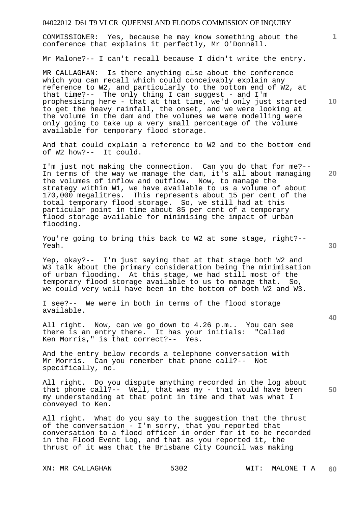COMMISSIONER: Yes, because he may know something about the conference that explains it perfectly, Mr O'Donnell.

Mr Malone?-- I can't recall because I didn't write the entry.

MR CALLAGHAN: Is there anything else about the conference which you can recall which could conceivably explain any reference to W2, and particularly to the bottom end of W2, at that time?-- The only thing I can suggest - and I'm prophesising here - that at that time, we'd only just started to get the heavy rainfall, the onset, and we were looking at the volume in the dam and the volumes we were modelling were only going to take up a very small percentage of the volume available for temporary flood storage.

And that could explain a reference to W2 and to the bottom end of W2 how?-- It could.

I'm just not making the connection. Can you do that for me?-- In terms of the way we manage the dam, it's all about managing the volumes of inflow and outflow. Now, to manage the strategy within W1, we have available to us a volume of about 170,000 megalitres. This represents about 15 per cent of the total temporary flood storage. So, we still had at this particular point in time about 85 per cent of a temporary flood storage available for minimising the impact of urban flooding.

You're going to bring this back to W2 at some stage, right?-- Yeah.

Yep, okay?-- I'm just saying that at that stage both W2 and W3 talk about the primary consideration being the minimisation of urban flooding. At this stage, we had still most of the temporary flood storage available to us to manage that. So, we could very well have been in the bottom of both W2 and W3.

I see?-- We were in both in terms of the flood storage available.

All right. Now, can we go down to 4.26 p.m.. You can see there is an entry there. It has your initials: "Called Ken Morris," is that correct?-- Yes.

And the entry below records a telephone conversation with Mr Morris. Can you remember that phone call?-- Not specifically, no.

**50**  All right. Do you dispute anything recorded in the log about that phone call?-- Well, that was my - that would have been my understanding at that point in time and that was what I conveyed to Ken.

All right. What do you say to the suggestion that the thrust of the conversation - I'm sorry, that you reported that conversation to a flood officer in order for it to be recorded in the Flood Event Log, and that as you reported it, the thrust of it was that the Brisbane City Council was making

**10** 

**1**

**30** 

**40**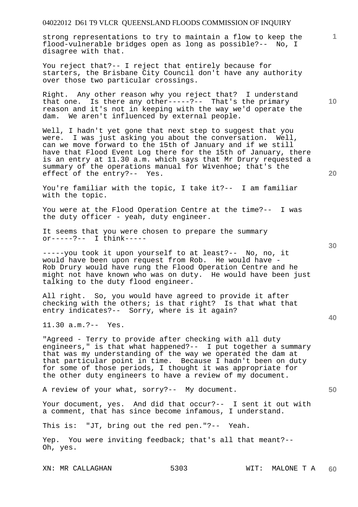strong representations to try to maintain a flow to keep the flood-vulnerable bridges open as long as possible?-- No, I disagree with that.

You reject that?-- I reject that entirely because for starters, the Brisbane City Council don't have any authority over those two particular crossings.

Right. Any other reason why you reject that? I understand that one. Is there any other-----?-- That's the primary reason and it's not in keeping with the way we'd operate the dam. We aren't influenced by external people.

Well, I hadn't yet gone that next step to suggest that you were. I was just asking you about the conversation. Well, weig. I was just ability you allow the contribution of the still have that Flood Event Log there for the 15th of January, there is an entry at 11.30 a.m. which says that Mr Drury requested a summary of the operations manual for Wivenhoe; that's the effect of the entry?-- Yes.

You're familiar with the topic, I take it?-- I am familiar with the topic.

You were at the Flood Operation Centre at the time?-- I was the duty officer - yeah, duty engineer.

It seems that you were chosen to prepare the summary or-----?-- I think-----

-----you took it upon yourself to at least?-- No, no, it would have been upon request from Rob. He would have - Rob Drury would have rung the Flood Operation Centre and he might not have known who was on duty. He would have been just talking to the duty flood engineer.

All right. So, you would have agreed to provide it after checking with the others; is that right? Is that what that entry indicates?-- Sorry, where is it again?

11.30 a.m.?-- Yes.

"Agreed - Terry to provide after checking with all duty engineers," is that what happened?-- I put together a summary that was my understanding of the way we operated the dam at that particular point in time. Because I hadn't been on duty for some of those periods, I thought it was appropriate for the other duty engineers to have a review of my document.

A review of your what, sorry?-- My document.

Your document, yes. And did that occur?-- I sent it out with a comment, that has since become infamous, I understand.

This is: "JT, bring out the red pen."?-- Yeah.

Yep. You were inviting feedback; that's all that meant?-- Oh, yes.

**30** 

**20** 

**50** 

**10**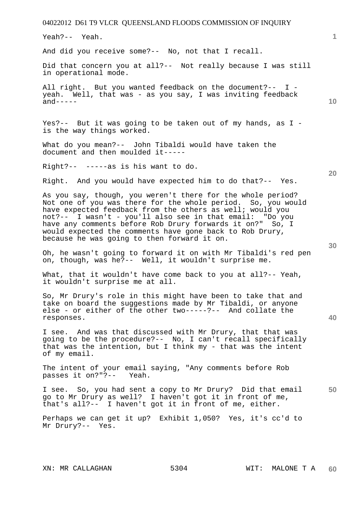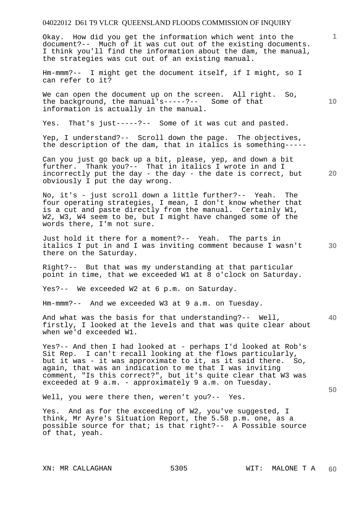Okay. How did you get the information which went into the document?-- Much of it was cut out of the existing documents. I think you'll find the information about the dam, the manual, the strategies was cut out of an existing manual.

Hm-mmm?-- I might get the document itself, if I might, so I can refer to it?

We can open the document up on the screen. All right. So, the background, the manual's-----?-- Some of that information is actually in the manual.

Yes. That's just-----?-- Some of it was cut and pasted.

Yep, I understand?-- Scroll down the page. The objectives, the description of the dam, that in italics is something-----

Can you just go back up a bit, please, yep, and down a bit further. Thank you?-- That in italics I wrote in and I incorrectly put the day - the day - the date is correct, but obviously I put the day wrong.

No, it's - just scroll down a little further?-- Yeah. The four operating strategies, I mean, I don't know whether that is a cut and paste directly from the manual. Certainly W1, W2, W3, W4 seem to be, but I might have changed some of the words there, I'm not sure.

Just hold it there for a moment?-- Yeah. The parts in italics I put in and I was inviting comment because I wasn't there on the Saturday.

Right?-- But that was my understanding at that particular point in time, that we exceeded W1 at 8 o'clock on Saturday.

Yes?-- We exceeded W2 at 6 p.m. on Saturday.

Hm-mmm?-- And we exceeded W3 at 9 a.m. on Tuesday.

**40**  And what was the basis for that understanding?-- Well, firstly, I looked at the levels and that was quite clear about when we'd exceeded W1.

Yes?-- And then I had looked at - perhaps I'd looked at Rob's Sit Rep. I can't recall looking at the flows particularly, but it was - it was approximate to it, as it said there. So, again, that was an indication to me that I was inviting comment, "Is this correct?", but it's quite clear that W3 was exceeded at 9 a.m. - approximately 9 a.m. on Tuesday.

Well, you were there then, weren't you?-- Yes.

Yes. And as for the exceeding of W2, you've suggested, I think, Mr Ayre's Situation Report, the 5.58 p.m. one, as a possible source for that; is that right?-- A Possible source of that, yeah.

**1**

**20** 

**30** 

**50**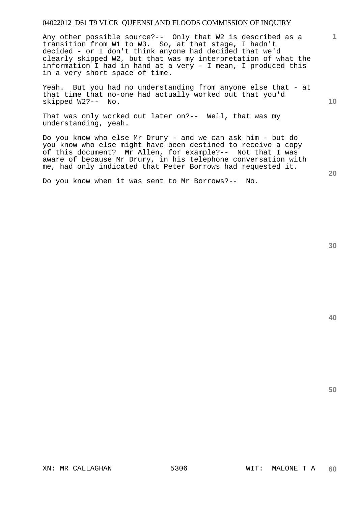Any other possible source?-- Only that W2 is described as a transition from W1 to W3. So, at that stage, I hadn't decided - or I don't think anyone had decided that we'd clearly skipped W2, but that was my interpretation of what the information I had in hand at a very - I mean, I produced this in a very short space of time.

Yeah. But you had no understanding from anyone else that - at that time that no-one had actually worked out that you'd skipped W2?-- No.

That was only worked out later on?-- Well, that was my understanding, yeah.

Do you know who else Mr Drury - and we can ask him - but do you know who else might have been destined to receive a copy of this document? Mr Allen, for example?-- Not that I was aware of because Mr Drury, in his telephone conversation with me, had only indicated that Peter Borrows had requested it.

Do you know when it was sent to Mr Borrows?-- No.

**40** 

**50** 

**1**

**20**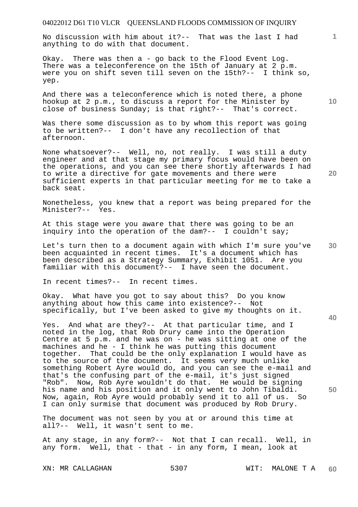No discussion with him about it?-- That was the last I had anything to do with that document.

Okay. There was then a - go back to the Flood Event Log. There was a teleconference on the 15th of January at 2 p.m. were you on shift seven till seven on the 15th?-- I think so, yep.

And there was a teleconference which is noted there, a phone hookup at 2 p.m., to discuss a report for the Minister by close of business Sunday; is that right?-- That's correct.

Was there some discussion as to by whom this report was going to be written?-- I don't have any recollection of that afternoon.

None whatsoever?-- Well, no, not really. I was still a duty engineer and at that stage my primary focus would have been on the operations, and you can see there shortly afterwards I had to write a directive for gate movements and there were sufficient experts in that particular meeting for me to take a back seat.

Nonetheless, you knew that a report was being prepared for the Minister?-- Yes.

At this stage were you aware that there was going to be an inquiry into the operation of the dam?-- I couldn't say;

Let's turn then to a document again with which I'm sure you've been acquainted in recent times. It's a document which has been described as a Strategy Summary, Exhibit 1051. Are you familiar with this document?-- I have seen the document.

In recent times?-- In recent times.

Okay. What have you got to say about this? Do you know anything about how this came into existence?-- Not specifically, but I've been asked to give my thoughts on it.

Yes. And what are they?-- At that particular time, and I noted in the log, that Rob Drury came into the Operation Centre at 5 p.m. and he was on - he was sitting at one of the machines and he - I think he was putting this document together. That could be the only explanation I would have as to the source of the document. It seems very much unlike something Robert Ayre would do, and you can see the e-mail and that's the confusing part of the e-mail, it's just signed "Rob". Now, Rob Ayre wouldn't do that. He would be signing his name and his position and it only went to John Tibaldi. Now, again, Rob Ayre would probably send it to all of us. So I can only surmise that document was produced by Rob Drury.

The document was not seen by you at or around this time at all?-- Well, it wasn't sent to me.

At any stage, in any form?-- Not that I can recall. Well, in any form. Well, that - that - in any form, I mean, look at

**10** 

**1**

**30** 

**20** 

**40**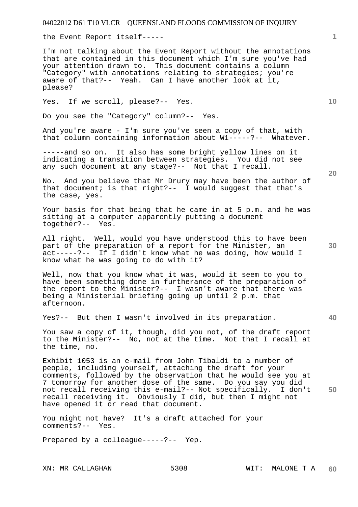the Event Report itself-----

I'm not talking about the Event Report without the annotations that are contained in this document which I'm sure you've had your attention drawn to. This document contains a column "Category" with annotations relating to strategies; you're aware of that?-- Yeah. Can I have another look at it, please?

Yes. If we scroll, please?-- Yes.

Do you see the "Category" column?-- Yes.

And you're aware - I'm sure you've seen a copy of that, with that column containing information about W1-----?-- Whatever.

-----and so on. It also has some bright yellow lines on it indicating a transition between strategies. You did not see any such document at any stage?-- Not that I recall.

No. And you believe that Mr Drury may have been the author of that document; is that right?-- I would suggest that that's the case, yes.

Your basis for that being that he came in at 5 p.m. and he was sitting at a computer apparently putting a document together?-- Yes.

All right. Well, would you have understood this to have been part of the preparation of a report for the Minister, an act-----?-- If I didn't know what he was doing, how would I know what he was going to do with it?

Well, now that you know what it was, would it seem to you to have been something done in furtherance of the preparation of the report to the Minister?-- I wasn't aware that there was being a Ministerial briefing going up until 2 p.m. that afternoon.

Yes?-- But then I wasn't involved in its preparation.

You saw a copy of it, though, did you not, of the draft report to the Minister?-- No, not at the time. Not that I recall at the time, no.

Exhibit 1053 is an e-mail from John Tibaldi to a number of people, including yourself, attaching the draft for your comments, followed by the observation that he would see you at 7 tomorrow for another dose of the same. Do you say you did not recall receiving this e-mail?-- Not specifically. I don't recall receiving it. Obviously I did, but then I might not have opened it or read that document.

You might not have? It's a draft attached for your comments?-- Yes.

Prepared by a colleague-----?-- Yep.

**20** 

**40** 

**50** 

**10**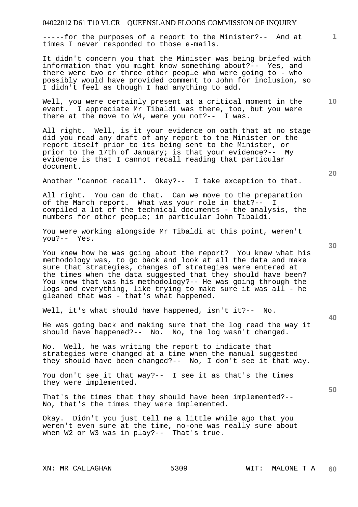-----for the purposes of a report to the Minister?-- And at times I never responded to those e-mails.

It didn't concern you that the Minister was being briefed with information that you might know something about?-- Yes, and there were two or three other people who were going to - who possibly would have provided comment to John for inclusion, so I didn't feel as though I had anything to add.

Well, you were certainly present at a critical moment in the event. I appreciate Mr Tibaldi was there, too, but you were there at the move to W4, were you not?-- I was.

All right. Well, is it your evidence on oath that at no stage did you read any draft of any report to the Minister or the report itself prior to its being sent to the Minister, or prior to the 17th of January; is that your evidence?-- My evidence is that I cannot recall reading that particular document.

Another "cannot recall". Okay?-- I take exception to that.

All right. You can do that. Can we move to the preparation of the March report. What was your role in that?-compiled a lot of the technical documents - the analysis, the numbers for other people; in particular John Tibaldi.

You were working alongside Mr Tibaldi at this point, weren't you?-- Yes.

You knew how he was going about the report? You knew what his methodology was, to go back and look at all the data and make sure that strategies, changes of strategies were entered at the times when the data suggested that they should have been? You knew that was his methodology?-- He was going through the logs and everything, like trying to make sure it was all - he gleaned that was - that's what happened.

Well, it's what should have happened, isn't it?-- No.

He was going back and making sure that the log read the way it should have happened?-- No. No, the log wasn't changed.

No. Well, he was writing the report to indicate that strategies were changed at a time when the manual suggested they should have been changed?-- No, I don't see it that way.

You don't see it that way?-- I see it as that's the times they were implemented.

That's the times that they should have been implemented?-- No, that's the times they were implemented.

Okay. Didn't you just tell me a little while ago that you weren't even sure at the time, no-one was really sure about when W2 or W3 was in play?-- That's true.

**20** 

**50** 

**30** 

**10**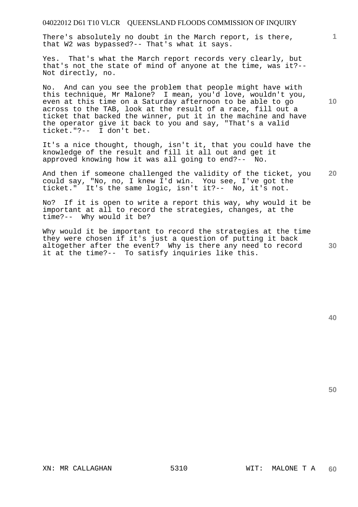## 04022012 D61 T10 VLCR QUEENSLAND FLOODS COMMISSION OF INQUIRY

There's absolutely no doubt in the March report, is there, that W2 was bypassed?-- That's what it says.

Yes. That's what the March report records very clearly, but that's not the state of mind of anyone at the time, was it?-- Not directly, no.

No. And can you see the problem that people might have with this technique, Mr Malone? I mean, you'd love, wouldn't you, even at this time on a Saturday afternoon to be able to go across to the TAB, look at the result of a race, fill out a ticket that backed the winner, put it in the machine and have the operator give it back to you and say, "That's a valid ticket."?-- I don't bet.

It's a nice thought, though, isn't it, that you could have the knowledge of the result and fill it all out and get it approved knowing how it was all going to end?-- No.

**20**  And then if someone challenged the validity of the ticket, you could say, "No, no, I knew I'd win. You see, I've got the ticket." It's the same logic, isn't it?-- No, it's not.

No? If it is open to write a report this way, why would it be important at all to record the strategies, changes, at the time?-- Why would it be?

Why would it be important to record the strategies at the time they were chosen if it's just a question of putting it back altogether after the event? Why is there any need to record it at the time?-- To satisfy inquiries like this.

**10** 

**1**

**50**